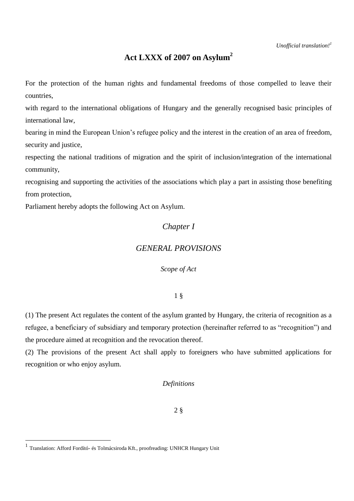# **Act LXXX of 2007 on Asylum<sup>2</sup>**

For the protection of the human rights and fundamental freedoms of those compelled to leave their countries,

with regard to the international obligations of Hungary and the generally recognised basic principles of international law,

bearing in mind the European Union's refugee policy and the interest in the creation of an area of freedom, security and justice,

respecting the national traditions of migration and the spirit of inclusion/integration of the international community,

recognising and supporting the activities of the associations which play a part in assisting those benefiting from protection,

Parliament hereby adopts the following Act on Asylum.

# *Chapter I*

# *GENERAL PROVISIONS*

*Scope of Act*

1 §

(1) The present Act regulates the content of the asylum granted by Hungary, the criteria of recognition as a refugee, a beneficiary of subsidiary and temporary protection (hereinafter referred to as "recognition") and the procedure aimed at recognition and the revocation thereof.

(2) The provisions of the present Act shall apply to foreigners who have submitted applications for recognition or who enjoy asylum.

# *Definitions*

2 §

 1 Translation: Afford Fordító- és Tolmácsiroda Kft., proofreading: UNHCR Hungary Unit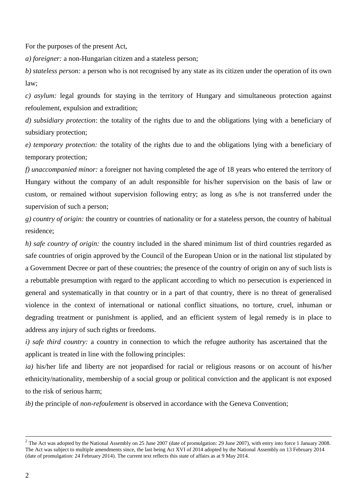For the purposes of the present Act,

*a) foreigner:* a non-Hungarian citizen and a stateless person;

*b) stateless person:* a person who is not recognised by any state as its citizen under the operation of its own law;

*c) asylum:* legal grounds for staying in the territory of Hungary and simultaneous protection against refoulement, expulsion and extradition;

*d) subsidiary protection*: the totality of the rights due to and the obligations lying with a beneficiary of subsidiary protection;

*e) temporary protection:* the totality of the rights due to and the obligations lying with a beneficiary of temporary protection;

*f) unaccompanied minor:* a foreigner not having completed the age of 18 years who entered the territory of Hungary without the company of an adult responsible for his/her supervision on the basis of law or custom, or remained without supervision following entry; as long as s/he is not transferred under the supervision of such a person;

*g) country of origin:* the country or countries of nationality or for a stateless person, the country of habitual residence;

*h) safe country of origin:* the country included in the shared minimum list of third countries regarded as safe countries of origin approved by the Council of the European Union or in the national list stipulated by a Government Decree or part of these countries; the presence of the country of origin on any of such lists is a rebuttable presumption with regard to the applicant according to which no persecution is experienced in general and systematically in that country or in a part of that country, there is no threat of generalised violence in the context of international or national conflict situations, no torture, cruel, inhuman or degrading treatment or punishment is applied, and an efficient system of legal remedy is in place to address any injury of such rights or freedoms.

*i) safe third country:* a country in connection to which the refugee authority has ascertained that the applicant is treated in line with the following principles:

*ia)* his/her life and liberty are not jeopardised for racial or religious reasons or on account of his/her ethnicity/nationality, membership of a social group or political conviction and the applicant is not exposed to the risk of serious harm;

*ib)* the principle of *non-refoulement* is observed in accordance with the Geneva Convention;

 $\overline{a}$ 

 $2^2$  The Act was adopted by the National Assembly on 25 June 2007 (date of promulgation: 29 June 2007), with entry into force 1 January 2008. The Act was subject to multiple amendments since, the last being Act XVI of 2014 adopted by the National Assembly on 13 February 2014 (date of promulgation: 24 February 2014). The current text reflects this state of affairs as at 9 May 2014.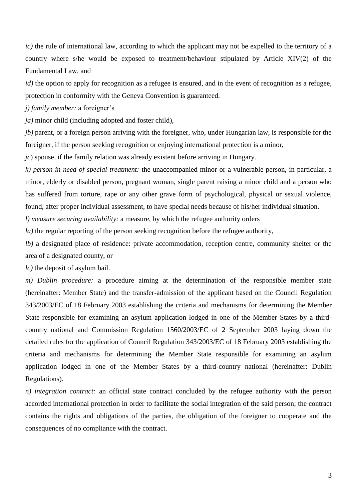*ic)* the rule of international law, according to which the applicant may not be expelled to the territory of a country where s/he would be exposed to treatment/behaviour stipulated by Article XIV(2) of the Fundamental Law, and

*id*) the option to apply for recognition as a refugee is ensured, and in the event of recognition as a refugee, protection in conformity with the Geneva Convention is guaranteed.

*j) family member:* a foreigner's

*ja)* minor child (including adopted and foster child),

*jb)* parent, or a foreign person arriving with the foreigner, who, under Hungarian law, is responsible for the foreigner, if the person seeking recognition or enjoying international protection is a minor,

*jc*) spouse, if the family relation was already existent before arriving in Hungary.

*k) person in need of special treatment:* the unaccompanied minor or a vulnerable person, in particular, a minor, elderly or disabled person, pregnant woman, single parent raising a minor child and a person who has suffered from torture, rape or any other grave form of psychological, physical or sexual violence, found, after proper individual assessment, to have special needs because of his/her individual situation.

*l) measure securing availability:* a measure, by which the refugee authority orders

*la*) the regular reporting of the person seeking recognition before the refugee authority,

*lb*) a designated place of residence: private accommodation, reception centre, community shelter or the area of a designated county, or

*lc)* the deposit of asylum bail.

*m) Dublin procedure:* a procedure aiming at the determination of the responsible member state (hereinafter: Member State) and the transfer-admission of the applicant based on the Council Regulation 343/2003/EC of 18 February 2003 establishing the criteria and mechanisms for determining the Member State responsible for examining an asylum application lodged in one of the Member States by a thirdcountry national and Commission Regulation 1560/2003/EC of 2 September 2003 laying down the detailed rules for the application of Council Regulation 343/2003/EC of 18 February 2003 establishing the criteria and mechanisms for determining the Member State responsible for examining an asylum application lodged in one of the Member States by a third-country national (hereinafter: Dublin Regulations).

*n) integration contract:* an official state contract concluded by the refugee authority with the person accorded international protection in order to facilitate the social integration of the said person; the contract contains the rights and obligations of the parties, the obligation of the foreigner to cooperate and the consequences of no compliance with the contract.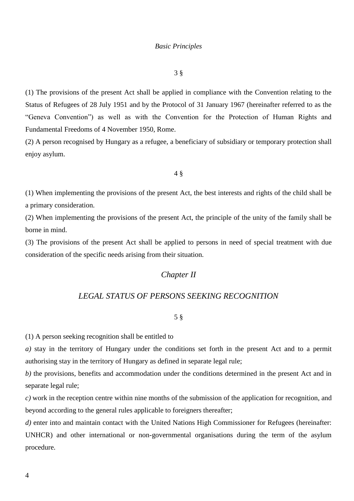#### *Basic Principles*

3 §

(1) The provisions of the present Act shall be applied in compliance with the Convention relating to the Status of Refugees of 28 July 1951 and by the Protocol of 31 January 1967 (hereinafter referred to as the "Geneva Convention") as well as with the Convention for the Protection of Human Rights and Fundamental Freedoms of 4 November 1950, Rome.

(2) A person recognised by Hungary as a refugee, a beneficiary of subsidiary or temporary protection shall enjoy asylum.

#### 4 §

(1) When implementing the provisions of the present Act, the best interests and rights of the child shall be a primary consideration.

(2) When implementing the provisions of the present Act, the principle of the unity of the family shall be borne in mind.

(3) The provisions of the present Act shall be applied to persons in need of special treatment with due consideration of the specific needs arising from their situation.

# *Chapter II*

# *LEGAL STATUS OF PERSONS SEEKING RECOGNITION*

# 5 §

(1) A person seeking recognition shall be entitled to

*a)* stay in the territory of Hungary under the conditions set forth in the present Act and to a permit authorising stay in the territory of Hungary as defined in separate legal rule;

*b*) the provisions, benefits and accommodation under the conditions determined in the present Act and in separate legal rule;

*c)* work in the reception centre within nine months of the submission of the application for recognition, and beyond according to the general rules applicable to foreigners thereafter;

*d*) enter into and maintain contact with the United Nations High Commissioner for Refugees (hereinafter: UNHCR) and other international or non-governmental organisations during the term of the asylum procedure.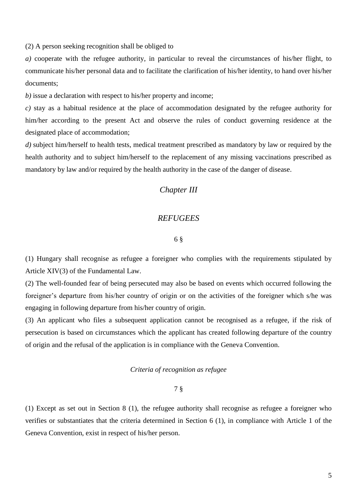(2) A person seeking recognition shall be obliged to

*a)* cooperate with the refugee authority, in particular to reveal the circumstances of his/her flight, to communicate his/her personal data and to facilitate the clarification of his/her identity, to hand over his/her documents;

*b)* issue a declaration with respect to his/her property and income;

*c)* stay as a habitual residence at the place of accommodation designated by the refugee authority for him/her according to the present Act and observe the rules of conduct governing residence at the designated place of accommodation;

*d)* subject him/herself to health tests, medical treatment prescribed as mandatory by law or required by the health authority and to subject him/herself to the replacement of any missing vaccinations prescribed as mandatory by law and/or required by the health authority in the case of the danger of disease.

# *Chapter III*

# *REFUGEES*

#### 6 §

(1) Hungary shall recognise as refugee a foreigner who complies with the requirements stipulated by Article XIV(3) of the Fundamental Law.

(2) The well-founded fear of being persecuted may also be based on events which occurred following the foreigner's departure from his/her country of origin or on the activities of the foreigner which s/he was engaging in following departure from his/her country of origin.

(3) An applicant who files a subsequent application cannot be recognised as a refugee, if the risk of persecution is based on circumstances which the applicant has created following departure of the country of origin and the refusal of the application is in compliance with the Geneva Convention.

#### *Criteria of recognition as refugee*

7 §

(1) Except as set out in Section 8 (1), the refugee authority shall recognise as refugee a foreigner who verifies or substantiates that the criteria determined in Section 6 (1), in compliance with Article 1 of the Geneva Convention, exist in respect of his/her person.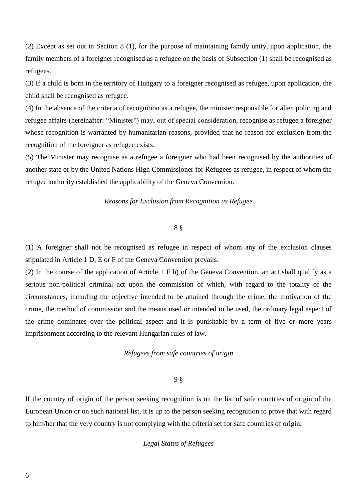(2) Except as set out in Section 8 (1), for the purpose of maintaining family unity, upon application, the family members of a foreigner recognised as a refugee on the basis of Subsection (1) shall be recognised as refugees.

(3) If a child is born in the territory of Hungary to a foreigner recognised as refugee, upon application, the child shall be recognised as refugee.

(4) In the absence of the criteria of recognition as a refugee, the minister responsible for alien policing and refugee affairs (hereinafter: "Minister") may, out of special consideration, recognise as refugee a foreigner whose recognition is warranted by humanitarian reasons, provided that no reason for exclusion from the recognition of the foreigner as refugee exists.

(5) The Minister may recognise as a refugee a foreigner who had been recognised by the authorities of another state or by the United Nations High Commissioner for Refugees as refugee, in respect of whom the refugee authority established the applicability of the Geneva Convention.

### *Reasons for Exclusion from Recognition as Refugee*

#### 8 §

(1) A foreigner shall not be recognised as refugee in respect of whom any of the exclusion clauses stipulated in Article 1 D, E or F of the Geneva Convention prevails.

(2) In the course of the application of Article 1 F b) of the Geneva Convention, an act shall qualify as a serious non-political criminal act upon the commission of which, with regard to the totality of the circumstances, including the objective intended to be attained through the crime, the motivation of the crime, the method of commission and the means used or intended to be used, the ordinary legal aspect of the crime dominates over the political aspect and it is punishable by a term of five or more years imprisonment according to the relevant Hungarian rules of law.

### *Refugees from safe countries of origin*

#### 9 §

If the country of origin of the person seeking recognition is on the list of safe countries of origin of the European Union or on such national list, it is up to the person seeking recognition to prove that with regard to him/her that the very country is not complying with the criteria set for safe countries of origin.

# *Legal Status of Refugees*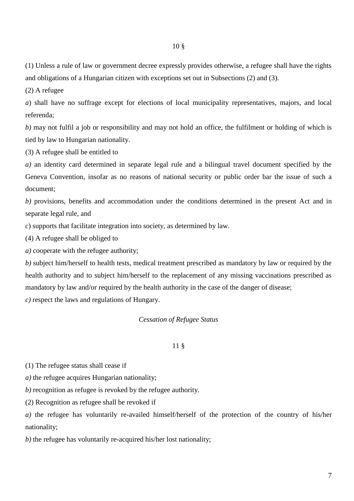(1) Unless a rule of law or government decree expressly provides otherwise, a refugee shall have the rights and obligations of a Hungarian citizen with exceptions set out in Subsections (2) and (3).

(2) A refugee

*a*) shall have no suffrage except for elections of local municipality representatives, majors, and local referenda;

*b)* may not fulfil a job or responsibility and may not hold an office, the fulfilment or holding of which is tied by law to Hungarian nationality.

(3) A refugee shall be entitled to

*a)* an identity card determined in separate legal rule and a bilingual travel document specified by the Geneva Convention, insofar as no reasons of national security or public order bar the issue of such a document;

*b*) provisions, benefits and accommodation under the conditions determined in the present Act and in separate legal rule, and

*c*) supports that facilitate integration into society, as determined by law.

(4) A refugee shall be obliged to

*a)* cooperate with the refugee authority;

*b)* subject him/herself to health tests, medical treatment prescribed as mandatory by law or required by the health authority and to subject him/herself to the replacement of any missing vaccinations prescribed as mandatory by law and/or required by the health authority in the case of the danger of disease;

*c)* respect the laws and regulations of Hungary.

# *Cessation of Refugee Status*

## 11 §

(1) The refugee status shall cease if

*a)* the refugee acquires Hungarian nationality;

*b)* recognition as refugee is revoked by the refugee authority.

(2) Recognition as refugee shall be revoked if

*a)* the refugee has voluntarily re-availed himself/herself of the protection of the country of his/her nationality;

*b)* the refugee has voluntarily re-acquired his/her lost nationality;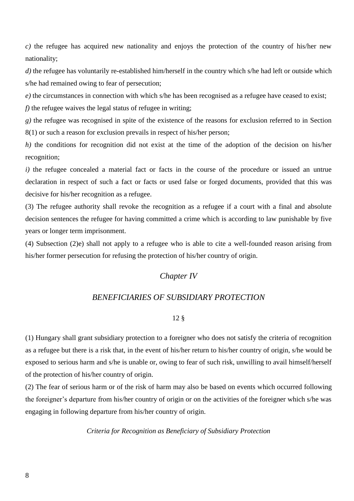*c)* the refugee has acquired new nationality and enjoys the protection of the country of his/her new nationality;

*d)* the refugee has voluntarily re-established him/herself in the country which s/he had left or outside which s/he had remained owing to fear of persecution;

*e)* the circumstances in connection with which s/he has been recognised as a refugee have ceased to exist;

*f*) the refugee waives the legal status of refugee in writing;

*g)* the refugee was recognised in spite of the existence of the reasons for exclusion referred to in Section 8(1) or such a reason for exclusion prevails in respect of his/her person;

*h*) the conditions for recognition did not exist at the time of the adoption of the decision on his/her recognition;

*i)* the refugee concealed a material fact or facts in the course of the procedure or issued an untrue declaration in respect of such a fact or facts or used false or forged documents, provided that this was decisive for his/her recognition as a refugee.

(3) The refugee authority shall revoke the recognition as a refugee if a court with a final and absolute decision sentences the refugee for having committed a crime which is according to law punishable by five years or longer term imprisonment.

(4) Subsection (2)e) shall not apply to a refugee who is able to cite a well-founded reason arising from his/her former persecution for refusing the protection of his/her country of origin.

# *Chapter IV*

# *BENEFICIARIES OF SUBSIDIARY PROTECTION*

# 12 §

(1) Hungary shall grant subsidiary protection to a foreigner who does not satisfy the criteria of recognition as a refugee but there is a risk that, in the event of his/her return to his/her country of origin, s/he would be exposed to serious harm and s/he is unable or, owing to fear of such risk, unwilling to avail himself/herself of the protection of his/her country of origin.

(2) The fear of serious harm or of the risk of harm may also be based on events which occurred following the foreigner's departure from his/her country of origin or on the activities of the foreigner which s/he was engaging in following departure from his/her country of origin.

*Criteria for Recognition as Beneficiary of Subsidiary Protection*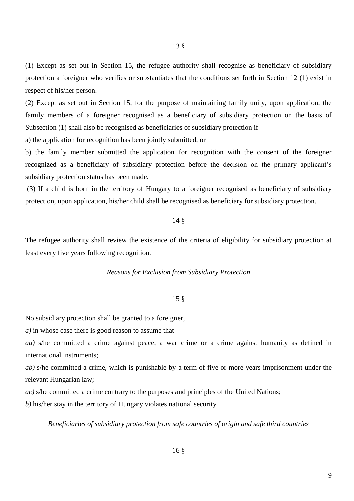(1) Except as set out in Section 15, the refugee authority shall recognise as beneficiary of subsidiary protection a foreigner who verifies or substantiates that the conditions set forth in Section 12 (1) exist in respect of his/her person.

(2) Except as set out in Section 15, for the purpose of maintaining family unity, upon application, the family members of a foreigner recognised as a beneficiary of subsidiary protection on the basis of Subsection (1) shall also be recognised as beneficiaries of subsidiary protection if

a) the application for recognition has been jointly submitted, or

b) the family member submitted the application for recognition with the consent of the foreigner recognized as a beneficiary of subsidiary protection before the decision on the primary applicant's subsidiary protection status has been made.

(3) If a child is born in the territory of Hungary to a foreigner recognised as beneficiary of subsidiary protection, upon application, his/her child shall be recognised as beneficiary for subsidiary protection.

#### 14 §

The refugee authority shall review the existence of the criteria of eligibility for subsidiary protection at least every five years following recognition.

#### *Reasons for Exclusion from Subsidiary Protection*

#### 15 §

No subsidiary protection shall be granted to a foreigner,

*a)* in whose case there is good reason to assume that

*aa)* s/he committed a crime against peace, a war crime or a crime against humanity as defined in international instruments;

*ab)* s/he committed a crime, which is punishable by a term of five or more years imprisonment under the relevant Hungarian law;

*ac)* s/he committed a crime contrary to the purposes and principles of the United Nations;

*b)* his/her stay in the territory of Hungary violates national security*.*

*Beneficiaries of subsidiary protection from safe countries of origin and safe third countries*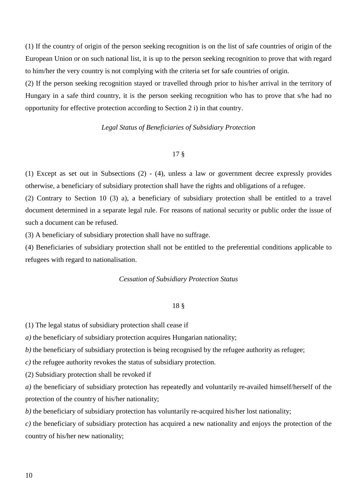(1) If the country of origin of the person seeking recognition is on the list of safe countries of origin of the European Union or on such national list, it is up to the person seeking recognition to prove that with regard to him/her the very country is not complying with the criteria set for safe countries of origin.

(2) If the person seeking recognition stayed or travelled through prior to his/her arrival in the territory of Hungary in a safe third country, it is the person seeking recognition who has to prove that s/he had no opportunity for effective protection according to Section 2 i) in that country.

## *Legal Status of Beneficiaries of Subsidiary Protection*

# 17 §

(1) Except as set out in Subsections (2) - (4), unless a law or government decree expressly provides otherwise, a beneficiary of subsidiary protection shall have the rights and obligations of a refugee.

(2) Contrary to Section 10 (3) a), a beneficiary of subsidiary protection shall be entitled to a travel document determined in a separate legal rule. For reasons of national security or public order the issue of such a document can be refused.

(3) A beneficiary of subsidiary protection shall have no suffrage.

(4) Beneficiaries of subsidiary protection shall not be entitled to the preferential conditions applicable to refugees with regard to nationalisation.

#### *Cessation of Subsidiary Protection Status*

#### 18 §

(1) The legal status of subsidiary protection shall cease if

*a)* the beneficiary of subsidiary protection acquires Hungarian nationality;

*b*) the beneficiary of subsidiary protection is being recognised by the refugee authority as refugee;

*c)* the refugee authority revokes the status of subsidiary protection.

(2) Subsidiary protection shall be revoked if

*a)* the beneficiary of subsidiary protection has repeatedly and voluntarily re-availed himself/herself of the protection of the country of his/her nationality;

*b)* the beneficiary of subsidiary protection has voluntarily re-acquired his/her lost nationality;

*c)* the beneficiary of subsidiary protection has acquired a new nationality and enjoys the protection of the country of his/her new nationality;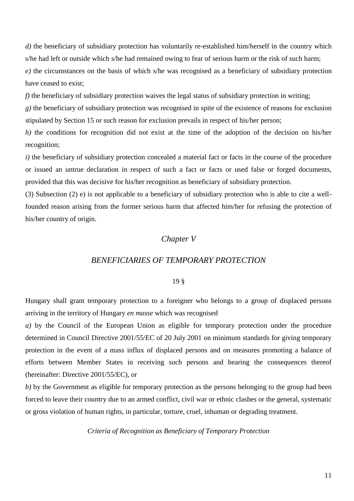*d)* the beneficiary of subsidiary protection has voluntarily re-established him/herself in the country which s/he had left or outside which s/he had remained owing to fear of serious harm or the risk of such harm; *e)* the circumstances on the basis of which s/he was recognised as a beneficiary of subsidiary protection have ceased to exist;

*f*) the beneficiary of subsidiary protection waives the legal status of subsidiary protection in writing;

*g)* the beneficiary of subsidiary protection was recognised in spite of the existence of reasons for exclusion stipulated by Section 15 or such reason for exclusion prevails in respect of his/her person;

*h*) the conditions for recognition did not exist at the time of the adoption of the decision on his/her recognition;

*i)* the beneficiary of subsidiary protection concealed a material fact or facts in the course of the procedure or issued an untrue declaration in respect of such a fact or facts or used false or forged documents, provided that this was decisive for his/her recognition as beneficiary of subsidiary protection.

(3) Subsection (2) e) is not applicable to a beneficiary of subsidiary protection who is able to cite a wellfounded reason arising from the former serious harm that affected him/her for refusing the protection of his/her country of origin.

# *Chapter V*

# *BENEFICIARIES OF TEMPORARY PROTECTION*

#### 19 §

Hungary shall grant temporary protection to a foreigner who belongs to a group of displaced persons arriving in the territory of Hungary *en masse* which was recognised

*a)* by the Council of the European Union as eligible for temporary protection under the procedure determined in Council Directive 2001/55/EC of 20 July 2001 on minimum standards for giving temporary protection in the event of a mass influx of displaced persons and on measures promoting a balance of efforts between Member States in receiving such persons and bearing the consequences thereof (hereinafter: Directive 2001/55/EC), or

*b)* by the Government as eligible for temporary protection as the persons belonging to the group had been forced to leave their country due to an armed conflict, civil war or ethnic clashes or the general, systematic or gross violation of human rights, in particular, torture, cruel, inhuman or degrading treatment.

*Criteria of Recognition as Beneficiary of Temporary Protection*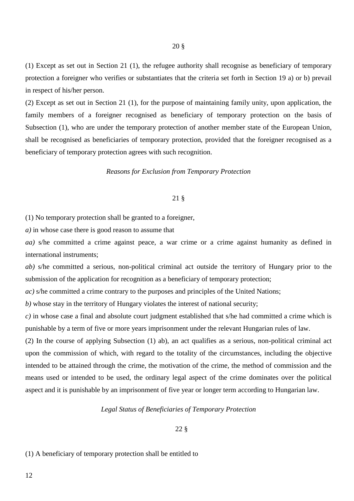(1) Except as set out in Section 21 (1), the refugee authority shall recognise as beneficiary of temporary protection a foreigner who verifies or substantiates that the criteria set forth in Section 19 a) or b) prevail in respect of his/her person.

(2) Except as set out in Section 21 (1), for the purpose of maintaining family unity, upon application, the family members of a foreigner recognised as beneficiary of temporary protection on the basis of Subsection (1), who are under the temporary protection of another member state of the European Union, shall be recognised as beneficiaries of temporary protection, provided that the foreigner recognised as a beneficiary of temporary protection agrees with such recognition.

#### *Reasons for Exclusion from Temporary Protection*

# 21 §

(1) No temporary protection shall be granted to a foreigner,

*a)* in whose case there is good reason to assume that

*aa)* s/he committed a crime against peace, a war crime or a crime against humanity as defined in international instruments;

*ab)* s/he committed a serious, non-political criminal act outside the territory of Hungary prior to the submission of the application for recognition as a beneficiary of temporary protection;

*ac)* s/he committed a crime contrary to the purposes and principles of the United Nations;

*b)* whose stay in the territory of Hungary violates the interest of national security;

*c)* in whose case a final and absolute court judgment established that s/he had committed a crime which is punishable by a term of five or more years imprisonment under the relevant Hungarian rules of law.

(2) In the course of applying Subsection (1) ab), an act qualifies as a serious, non-political criminal act upon the commission of which, with regard to the totality of the circumstances, including the objective intended to be attained through the crime, the motivation of the crime, the method of commission and the means used or intended to be used, the ordinary legal aspect of the crime dominates over the political aspect and it is punishable by an imprisonment of five year or longer term according to Hungarian law.

#### *Legal Status of Beneficiaries of Temporary Protection*

### 22 §

#### (1) A beneficiary of temporary protection shall be entitled to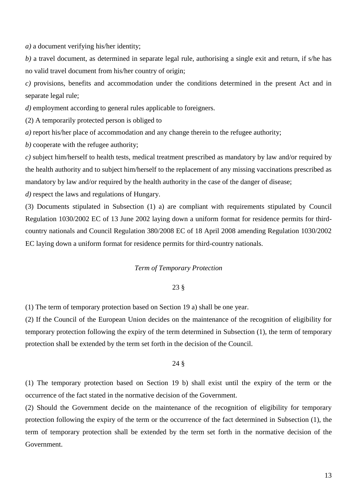*a)* a document verifying his/her identity;

*b)* a travel document, as determined in separate legal rule, authorising a single exit and return, if s/he has no valid travel document from his/her country of origin;

*c)* provisions, benefits and accommodation under the conditions determined in the present Act and in separate legal rule;

*d*) employment according to general rules applicable to foreigners.

(2) A temporarily protected person is obliged to

*a)* report his/her place of accommodation and any change therein to the refugee authority;

*b)* cooperate with the refugee authority;

*c)* subject him/herself to health tests, medical treatment prescribed as mandatory by law and/or required by the health authority and to subject him/herself to the replacement of any missing vaccinations prescribed as mandatory by law and/or required by the health authority in the case of the danger of disease;

*d)* respect the laws and regulations of Hungary.

(3) Documents stipulated in Subsection (1) a) are compliant with requirements stipulated by Council Regulation 1030/2002 EC of 13 June 2002 laying down a uniform format for residence permits for thirdcountry nationals and Council Regulation 380/2008 EC of 18 April 2008 amending Regulation 1030/2002 EC laying down a uniform format for residence permits for third-country nationals.

#### *Term of Temporary Protection*

#### 23 §

(1) The term of temporary protection based on Section 19 a) shall be one year.

(2) If the Council of the European Union decides on the maintenance of the recognition of eligibility for temporary protection following the expiry of the term determined in Subsection (1), the term of temporary protection shall be extended by the term set forth in the decision of the Council.

### 24 §

(1) The temporary protection based on Section 19 b) shall exist until the expiry of the term or the occurrence of the fact stated in the normative decision of the Government.

(2) Should the Government decide on the maintenance of the recognition of eligibility for temporary protection following the expiry of the term or the occurrence of the fact determined in Subsection (1), the term of temporary protection shall be extended by the term set forth in the normative decision of the Government.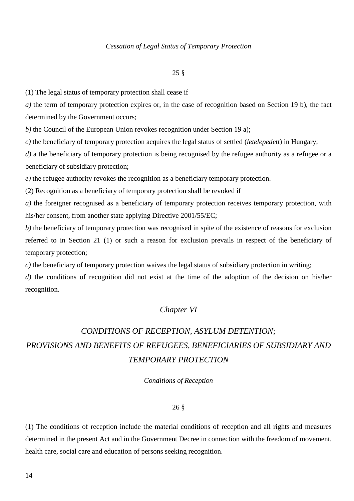#### *Cessation of Legal Status of Temporary Protection*

#### 25 §

(1) The legal status of temporary protection shall cease if

*a)* the term of temporary protection expires or, in the case of recognition based on Section 19 b), the fact determined by the Government occurs;

*b)* the Council of the European Union revokes recognition under Section 19 a);

*c)* the beneficiary of temporary protection acquires the legal status of settled (*letelepedett*) in Hungary;

*d*) a the beneficiary of temporary protection is being recognised by the refugee authority as a refugee or a beneficiary of subsidiary protection;

*e)* the refugee authority revokes the recognition as a beneficiary temporary protection.

(2) Recognition as a beneficiary of temporary protection shall be revoked if

*a)* the foreigner recognised as a beneficiary of temporary protection receives temporary protection, with his/her consent, from another state applying Directive 2001/55/EC;

*b)* the beneficiary of temporary protection was recognised in spite of the existence of reasons for exclusion referred to in Section 21 (1) or such a reason for exclusion prevails in respect of the beneficiary of temporary protection;

*c)* the beneficiary of temporary protection waives the legal status of subsidiary protection in writing;

*d)* the conditions of recognition did not exist at the time of the adoption of the decision on his/her recognition.

# *Chapter VI*

# *CONDITIONS OF RECEPTION, ASYLUM DETENTION; PROVISIONS AND BENEFITS OF REFUGEES, BENEFICIARIES OF SUBSIDIARY AND TEMPORARY PROTECTION*

*Conditions of Reception*

#### 26 §

(1) The conditions of reception include the material conditions of reception and all rights and measures determined in the present Act and in the Government Decree in connection with the freedom of movement, health care, social care and education of persons seeking recognition.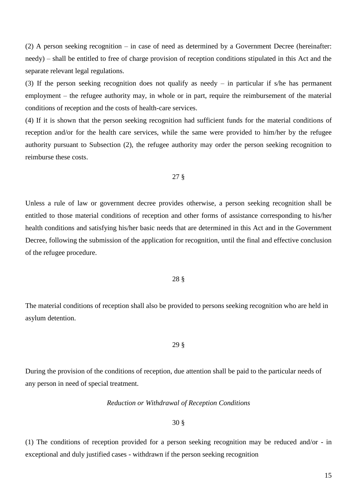(2) A person seeking recognition – in case of need as determined by a Government Decree (hereinafter: needy) – shall be entitled to free of charge provision of reception conditions stipulated in this Act and the separate relevant legal regulations.

(3) If the person seeking recognition does not qualify as needy – in particular if s/he has permanent employment – the refugee authority may, in whole or in part, require the reimbursement of the material conditions of reception and the costs of health-care services.

(4) If it is shown that the person seeking recognition had sufficient funds for the material conditions of reception and/or for the health care services, while the same were provided to him/her by the refugee authority pursuant to Subsection (2), the refugee authority may order the person seeking recognition to reimburse these costs.

27 §

Unless a rule of law or government decree provides otherwise, a person seeking recognition shall be entitled to those material conditions of reception and other forms of assistance corresponding to his/her health conditions and satisfying his/her basic needs that are determined in this Act and in the Government Decree, following the submission of the application for recognition, until the final and effective conclusion of the refugee procedure.

#### 28 §

The material conditions of reception shall also be provided to persons seeking recognition who are held in asylum detention.

29 §

During the provision of the conditions of reception, due attention shall be paid to the particular needs of any person in need of special treatment.

#### *Reduction or Withdrawal of Reception Conditions*

#### 30 §

(1) The conditions of reception provided for a person seeking recognition may be reduced and/or - in exceptional and duly justified cases - withdrawn if the person seeking recognition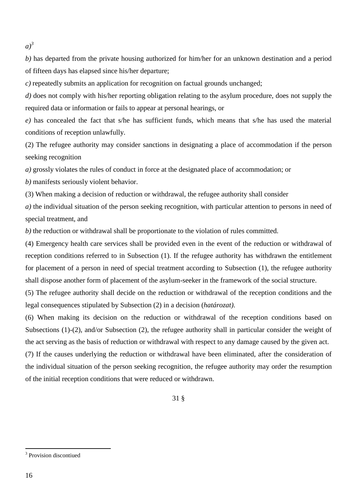$a)^3$ 

*b)* has departed from the private housing authorized for him/her for an unknown destination and a period of fifteen days has elapsed since his/her departure;

*c)* repeatedly submits an application for recognition on factual grounds unchanged;

*d)* does not comply with his/her reporting obligation relating to the asylum procedure, does not supply the required data or information or fails to appear at personal hearings, or

*e)* has concealed the fact that s/he has sufficient funds, which means that s/he has used the material conditions of reception unlawfully.

(2) The refugee authority may consider sanctions in designating a place of accommodation if the person seeking recognition

*a)* grossly violates the rules of conduct in force at the designated place of accommodation; or

*b)* manifests seriously violent behavior.

(3) When making a decision of reduction or withdrawal, the refugee authority shall consider

*a)* the individual situation of the person seeking recognition, with particular attention to persons in need of special treatment, and

*b)* the reduction or withdrawal shall be proportionate to the violation of rules committed.

(4) Emergency health care services shall be provided even in the event of the reduction or withdrawal of reception conditions referred to in Subsection (1). If the refugee authority has withdrawn the entitlement for placement of a person in need of special treatment according to Subsection (1), the refugee authority shall dispose another form of placement of the asylum-seeker in the framework of the social structure.

(5) The refugee authority shall decide on the reduction or withdrawal of the reception conditions and the legal consequences stipulated by Subsection (2) in a decision (*határozat)*.

(6) When making its decision on the reduction or withdrawal of the reception conditions based on Subsections (1)-(2), and/or Subsection (2), the refugee authority shall in particular consider the weight of the act serving as the basis of reduction or withdrawal with respect to any damage caused by the given act.

(7) If the causes underlying the reduction or withdrawal have been eliminated, after the consideration of the individual situation of the person seeking recognition, the refugee authority may order the resumption of the initial reception conditions that were reduced or withdrawn.

31 §

 $\overline{a}$ 

<sup>&</sup>lt;sup>3</sup> Provision discontiued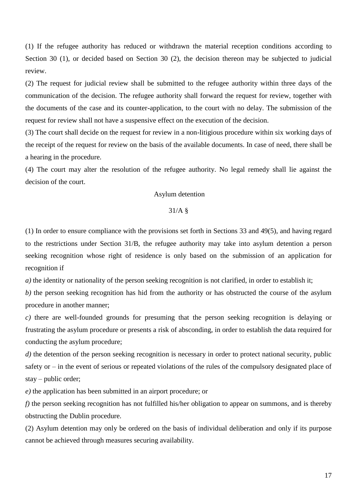(1) If the refugee authority has reduced or withdrawn the material reception conditions according to Section 30 (1), or decided based on Section 30 (2), the decision thereon may be subjected to judicial review.

(2) The request for judicial review shall be submitted to the refugee authority within three days of the communication of the decision. The refugee authority shall forward the request for review, together with the documents of the case and its counter-application, to the court with no delay. The submission of the request for review shall not have a suspensive effect on the execution of the decision.

(3) The court shall decide on the request for review in a non-litigious procedure within six working days of the receipt of the request for review on the basis of the available documents. In case of need, there shall be a hearing in the procedure.

(4) The court may alter the resolution of the refugee authority. No legal remedy shall lie against the decision of the court.

# Asylum detention

#### 31/A §

(1) In order to ensure compliance with the provisions set forth in Sections 33 and 49(5), and having regard to the restrictions under Section 31/B, the refugee authority may take into asylum detention a person seeking recognition whose right of residence is only based on the submission of an application for recognition if

*a*) the identity or nationality of the person seeking recognition is not clarified, in order to establish it;

*b)* the person seeking recognition has hid from the authority or has obstructed the course of the asylum procedure in another manner;

*c)* there are well-founded grounds for presuming that the person seeking recognition is delaying or frustrating the asylum procedure or presents a risk of absconding, in order to establish the data required for conducting the asylum procedure;

*d*) the detention of the person seeking recognition is necessary in order to protect national security, public safety or – in the event of serious or repeated violations of the rules of the compulsory designated place of stay – public order;

*e)* the application has been submitted in an airport procedure; or

*f)* the person seeking recognition has not fulfilled his/her obligation to appear on summons, and is thereby obstructing the Dublin procedure.

(2) Asylum detention may only be ordered on the basis of individual deliberation and only if its purpose cannot be achieved through measures securing availability.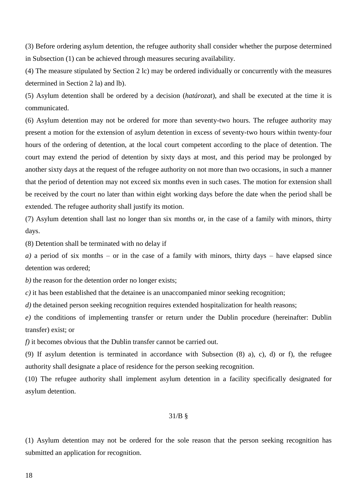(3) Before ordering asylum detention, the refugee authority shall consider whether the purpose determined in Subsection (1) can be achieved through measures securing availability.

(4) The measure stipulated by Section 2 lc) may be ordered individually or concurrently with the measures determined in Section 2 la) and lb).

(5) Asylum detention shall be ordered by a decision (*határozat*), and shall be executed at the time it is communicated.

(6) Asylum detention may not be ordered for more than seventy-two hours. The refugee authority may present a motion for the extension of asylum detention in excess of seventy-two hours within twenty-four hours of the ordering of detention, at the local court competent according to the place of detention. The court may extend the period of detention by sixty days at most, and this period may be prolonged by another sixty days at the request of the refugee authority on not more than two occasions, in such a manner that the period of detention may not exceed six months even in such cases. The motion for extension shall be received by the court no later than within eight working days before the date when the period shall be extended. The refugee authority shall justify its motion.

(7) Asylum detention shall last no longer than six months or, in the case of a family with minors, thirty days.

(8) Detention shall be terminated with no delay if

*a)* a period of six months – or in the case of a family with minors, thirty days – have elapsed since detention was ordered;

*b)* the reason for the detention order no longer exists;

*c)* it has been established that the detainee is an unaccompanied minor seeking recognition;

*d*) the detained person seeking recognition requires extended hospitalization for health reasons;

*e)* the conditions of implementing transfer or return under the Dublin procedure (hereinafter: Dublin transfer) exist; or

*f)* it becomes obvious that the Dublin transfer cannot be carried out.

(9) If asylum detention is terminated in accordance with Subsection (8) a), c), d) or f), the refugee authority shall designate a place of residence for the person seeking recognition.

(10) The refugee authority shall implement asylum detention in a facility specifically designated for asylum detention.

#### 31/B §

(1) Asylum detention may not be ordered for the sole reason that the person seeking recognition has submitted an application for recognition.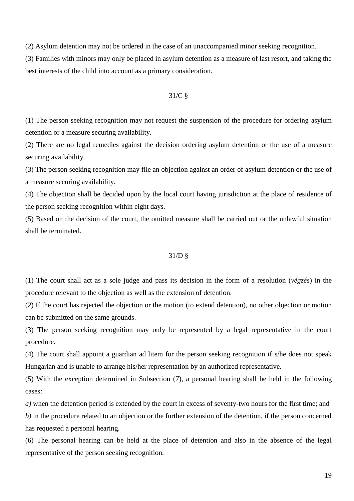(2) Asylum detention may not be ordered in the case of an unaccompanied minor seeking recognition.

(3) Families with minors may only be placed in asylum detention as a measure of last resort, and taking the best interests of the child into account as a primary consideration.

# 31/C §

(1) The person seeking recognition may not request the suspension of the procedure for ordering asylum detention or a measure securing availability.

(2) There are no legal remedies against the decision ordering asylum detention or the use of a measure securing availability.

(3) The person seeking recognition may file an objection against an order of asylum detention or the use of a measure securing availability.

(4) The objection shall be decided upon by the local court having jurisdiction at the place of residence of the person seeking recognition within eight days.

(5) Based on the decision of the court, the omitted measure shall be carried out or the unlawful situation shall be terminated.

#### 31/D §

(1) The court shall act as a sole judge and pass its decision in the form of a resolution (*végzés*) in the procedure relevant to the objection as well as the extension of detention.

(2) If the court has rejected the objection or the motion (to extend detention), no other objection or motion can be submitted on the same grounds.

(3) The person seeking recognition may only be represented by a legal representative in the court procedure.

(4) The court shall appoint a guardian ad litem for the person seeking recognition if s/he does not speak Hungarian and is unable to arrange his/her representation by an authorized representative.

(5) With the exception determined in Subsection (7), a personal hearing shall be held in the following cases:

*a)* when the detention period is extended by the court in excess of seventy-two hours for the first time; and

*b)* in the procedure related to an objection or the further extension of the detention, if the person concerned has requested a personal hearing.

(6) The personal hearing can be held at the place of detention and also in the absence of the legal representative of the person seeking recognition.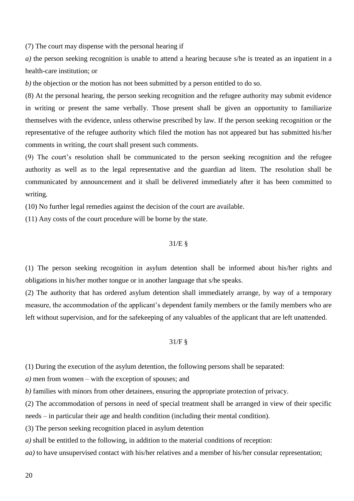(7) The court may dispense with the personal hearing if

*a)* the person seeking recognition is unable to attend a hearing because s/he is treated as an inpatient in a health-care institution; or

*b*) the objection or the motion has not been submitted by a person entitled to do so.

(8) At the personal hearing, the person seeking recognition and the refugee authority may submit evidence in writing or present the same verbally. Those present shall be given an opportunity to familiarize themselves with the evidence, unless otherwise prescribed by law. If the person seeking recognition or the representative of the refugee authority which filed the motion has not appeared but has submitted his/her comments in writing, the court shall present such comments.

(9) The court's resolution shall be communicated to the person seeking recognition and the refugee authority as well as to the legal representative and the guardian ad litem. The resolution shall be communicated by announcement and it shall be delivered immediately after it has been committed to writing.

(10) No further legal remedies against the decision of the court are available.

(11) Any costs of the court procedure will be borne by the state.

#### 31/E §

(1) The person seeking recognition in asylum detention shall be informed about his/her rights and obligations in his/her mother tongue or in another language that s/he speaks.

(2) The authority that has ordered asylum detention shall immediately arrange, by way of a temporary measure, the accommodation of the applicant's dependent family members or the family members who are left without supervision, and for the safekeeping of any valuables of the applicant that are left unattended.

#### 31/F §

(1) During the execution of the asylum detention, the following persons shall be separated:

*a)* men from women – with the exception of spouses; and

*b)* families with minors from other detainees, ensuring the appropriate protection of privacy.

(2) The accommodation of persons in need of special treatment shall be arranged in view of their specific needs – in particular their age and health condition (including their mental condition).

(3) The person seeking recognition placed in asylum detention

*a)* shall be entitled to the following, in addition to the material conditions of reception:

*aa)* to have unsupervised contact with his/her relatives and a member of his/her consular representation;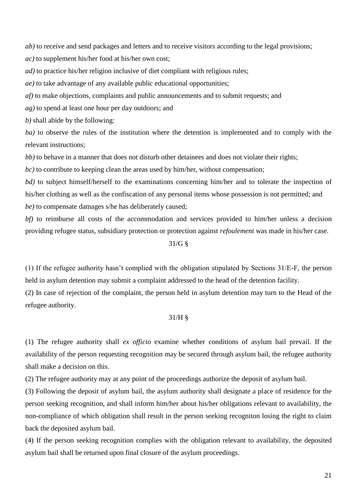*ab*) to receive and send packages and letters and to receive visitors according to the legal provisions;

*ac)* to supplement his/her food at his/her own cost;

*ad)* to practice his/her religion inclusive of diet compliant with religious rules;

*ae)* to take advantage of any available public educational opportunities;

*af)* to make objections, complaints and public announcements and to submit requests; and

*ag)* to spend at least one hour per day outdoors; and

*b)* shall abide by the following:

*ba)* to observe the rules of the institution where the detention is implemented and to comply with the relevant instructions;

*bb*) to behave in a manner that does not disturb other detainees and does not violate their rights;

*bc)* to contribute to keeping clean the areas used by him/her, without compensation;

*bd*) to subject himself/herself to the examinations concerning him/her and to tolerate the inspection of his/her clothing as well as the confiscation of any personal items whose possession is not permitted; and *be)* to compensate damages s/he has deliberately caused;

*bf*) to reimburse all costs of the accommodation and services provided to him/her unless a decision providing refugee status, subsidiary protection or protection against *refoulement* was made in his/her case.

# 31/G §

(1) If the refugee authority hasn't complied with the obligation stipulated by Sections 31/E-F, the person held in asylum detention may submit a complaint addressed to the head of the detention facility.

(2) In case of rejection of the complaint, the person held in asylum detention may turn to the Head of the refugee authority.

### 31/H §

(1) The refugee authority shall *ex officio* examine whether conditions of asylum bail prevail. If the availability of the person requesting recognition may be secured through asylum bail, the refugee authority shall make a decision on this.

(2) The refugee authority may at any point of the proceedings authorize the deposit of asylum bail.

(3) Following the deposit of asylum bail, the asylum authority shall designate a place of residence for the person seeking recognition, and shall inform him/her about his/her obligations relevant to availability, the non-compliance of which obligation shall result in the person seeking recogniton losing the right to claim back the deposited asylum bail.

(4) If the person seeking recognition complies with the obligation relevant to availability, the deposited asylum bail shall be returned upon final closure of the asylum proceedings.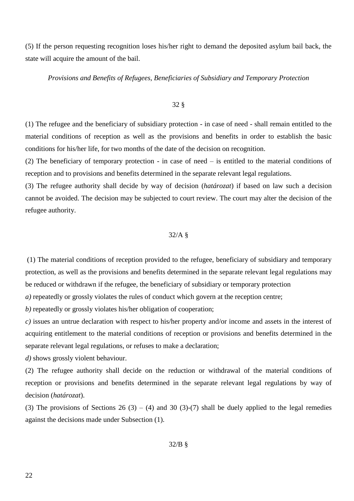(5) If the person requesting recognition loses his/her right to demand the deposited asylum bail back, the state will acquire the amount of the bail.

*Provisions and Benefits of Refugees, Beneficiaries of Subsidiary and Temporary Protection*

#### 32 §

(1) The refugee and the beneficiary of subsidiary protection - in case of need - shall remain entitled to the material conditions of reception as well as the provisions and benefits in order to establish the basic conditions for his/her life, for two months of the date of the decision on recognition.

(2) The beneficiary of temporary protection - in case of need – is entitled to the material conditions of reception and to provisions and benefits determined in the separate relevant legal regulations.

(3) The refugee authority shall decide by way of decision (*határozat*) if based on law such a decision cannot be avoided. The decision may be subjected to court review. The court may alter the decision of the refugee authority.

## 32/A §

(1) The material conditions of reception provided to the refugee, beneficiary of subsidiary and temporary protection, as well as the provisions and benefits determined in the separate relevant legal regulations may be reduced or withdrawn if the refugee, the beneficiary of subsidiary or temporary protection

*a)* repeatedly or grossly violates the rules of conduct which govern at the reception centre;

*b)* repeatedly or grossly violates his/her obligation of cooperation;

*c)* issues an untrue declaration with respect to his/her property and/or income and assets in the interest of acquiring entitlement to the material conditions of reception or provisions and benefits determined in the separate relevant legal regulations, or refuses to make a declaration;

*d)* shows grossly violent behaviour.

(2) The refugee authority shall decide on the reduction or withdrawal of the material conditions of reception or provisions and benefits determined in the separate relevant legal regulations by way of decision (*határozat*).

(3) The provisions of Sections 26 (3) – (4) and 30 (3)-(7) shall be duely applied to the legal remedies against the decisions made under Subsection (1).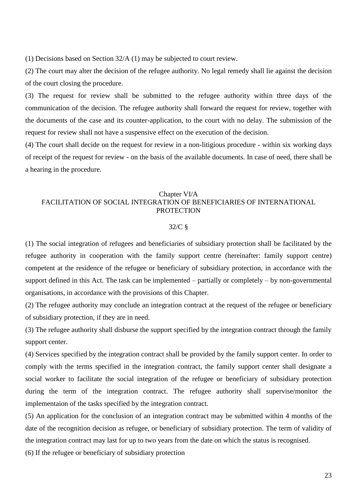(1) Decisions based on Section 32/A (1) may be subjected to court review.

(2) The court may alter the decision of the refugee authority. No legal remedy shall lie against the decision of the court closing the procedure.

(3) The request for review shall be submitted to the refugee authority within three days of the communication of the decision. The refugee authority shall forward the request for review, together with the documents of the case and its counter-application, to the court with no delay. The submission of the request for review shall not have a suspensive effect on the execution of the decision.

(4) The court shall decide on the request for review in a non-litigious procedure - within six working days of receipt of the request for review - on the basis of the available documents. In case of need, there shall be a hearing in the procedure.

# Chapter VI/A FACILITATION OF SOCIAL INTEGRATION OF BENEFICIARIES OF INTERNATIONAL **PROTECTION**

#### 32/C §

(1) The social integration of refugees and beneficiaries of subsidiary protection shall be facilitated by the refugee authority in cooperation with the family support centre (hereinafter: family support centre) competent at the residence of the refugee or beneficiary of subsidiary protection, in accordance with the support defined in this Act. The task can be implemented – partially or completely – by non-governmental organisations, in accordance with the provisions of this Chapter.

(2) The refugee authority may conclude an integration contract at the request of the refugee or beneficiary of subsidiary protection, if they are in need.

(3) The refugee authority shall disburse the support specified by the integration contract through the family support center.

(4) Services specified by the integration contract shall be provided by the family support center. In order to comply with the terms specified in the integration contract, the family support center shall designate a social worker to facilitate the social integration of the refugee or beneficiary of subsidiary protection during the term of the integration contract. The refugee authority shall supervise/monitor the implementaion of the tasks specified by the integration contract.

(5) An application for the conclusion of an integration contract may be submitted within 4 months of the date of the recognition decision as refugee, or beneficiary of subsidiary protection. The term of validity of the integration contract may last for up to two years from the date on which the status is recognised.

(6) If the refugee or beneficiary of subsidiary protection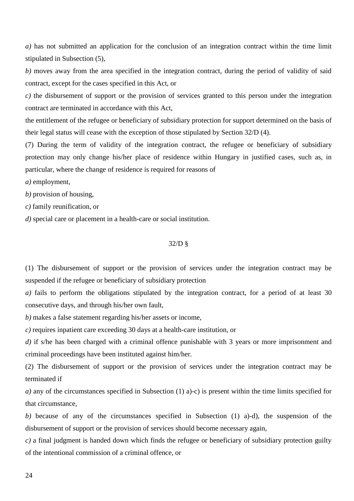*a)* has not submitted an application for the conclusion of an integration contract within the time limit stipulated in Subsection (5),

*b)* moves away from the area specified in the integration contract, during the period of validity of said contract, except for the cases specified in this Act, or

*c)* the disbursement of support or the provision of services granted to this person under the integration contract are terminated in accordance with this Act,

the entitlement of the refugee or beneficiary of subsidiary protection for support determined on the basis of their legal status will cease with the exception of those stipulated by Section 32/D (4).

(7) During the term of validity of the integration contract, the refugee or beneficiary of subsidiary protection may only change his/her place of residence within Hungary in justified cases, such as, in particular, where the change of residence is required for reasons of

*a)* employment,

*b)* provision of housing,

*c)* family reunification, or

*d)* special care or placement in a health-care or social institution.

#### 32/D §

(1) The disbursement of support or the provision of services under the integration contract may be suspended if the refugee or beneficiary of subsidiary protection

*a)* fails to perform the obligations stipulated by the integration contract, for a period of at least 30 consecutive days, and through his/her own fault,

*b)* makes a false statement regarding his/her assets or income,

*c)* requires inpatient care exceeding 30 days at a health-care institution, or

*d*) if s/he has been charged with a criminal offence punishable with 3 years or more imprisonment and criminal proceedings have been instituted against him/her.

(2) The disbursement of support or the provision of services under the integration contract may be terminated if

*a)* any of the circumstances specified in Subsection (1) a)-c) is present within the time limits specified for that circumstance,

*b)* because of any of the circumstances specified in Subsection (1) a)-d), the suspension of the disbursement of support or the provision of services should become necessary again,

*c)* a final judgment is handed down which finds the refugee or beneficiary of subsidiary protection guilty of the intentional commission of a criminal offence, or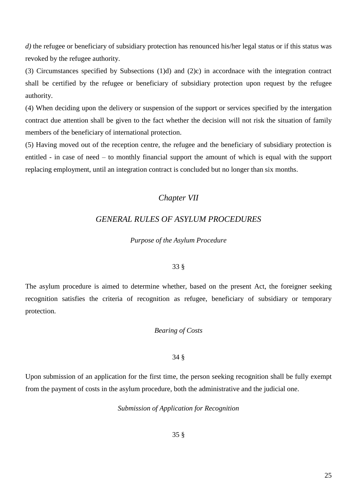*d*) the refugee or beneficiary of subsidiary protection has renounced his/her legal status or if this status was revoked by the refugee authority.

(3) Circumstances specified by Subsections (1)d) and (2)c) in accordnace with the integration contract shall be certified by the refugee or beneficiary of subsidiary protection upon request by the refugee authority.

(4) When deciding upon the delivery or suspension of the support or services specified by the intergation contract due attention shall be given to the fact whether the decision will not risk the situation of family members of the beneficiary of international protection.

(5) Having moved out of the reception centre, the refugee and the beneficiary of subsidiary protection is entitled - in case of need – to monthly financial support the amount of which is equal with the support replacing employment, until an integration contract is concluded but no longer than six months.

# *Chapter VII*

# *GENERAL RULES OF ASYLUM PROCEDURES*

# *Purpose of the Asylum Procedure*

# 33 §

The asylum procedure is aimed to determine whether, based on the present Act, the foreigner seeking recognition satisfies the criteria of recognition as refugee, beneficiary of subsidiary or temporary protection.

# *Bearing of Costs*

# 34 §

Upon submission of an application for the first time, the person seeking recognition shall be fully exempt from the payment of costs in the asylum procedure, both the administrative and the judicial one.

*Submission of Application for Recognition*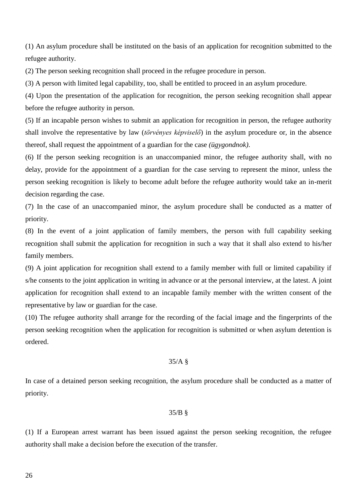(1) An asylum procedure shall be instituted on the basis of an application for recognition submitted to the refugee authority.

(2) The person seeking recognition shall proceed in the refugee procedure in person.

(3) A person with limited legal capability, too, shall be entitled to proceed in an asylum procedure.

(4) Upon the presentation of the application for recognition, the person seeking recognition shall appear before the refugee authority in person.

(5) If an incapable person wishes to submit an application for recognition in person, the refugee authority shall involve the representative by law (*törvényes képviselő*) in the asylum procedure or, in the absence thereof, shall request the appointment of a guardian for the case *(ügygondnok)*.

(6) If the person seeking recognition is an unaccompanied minor, the refugee authority shall, with no delay, provide for the appointment of a guardian for the case serving to represent the minor, unless the person seeking recognition is likely to become adult before the refugee authority would take an in-merit decision regarding the case.

(7) In the case of an unaccompanied minor, the asylum procedure shall be conducted as a matter of priority.

(8) In the event of a joint application of family members, the person with full capability seeking recognition shall submit the application for recognition in such a way that it shall also extend to his/her family members.

(9) A joint application for recognition shall extend to a family member with full or limited capability if s/he consents to the joint application in writing in advance or at the personal interview, at the latest. A joint application for recognition shall extend to an incapable family member with the written consent of the representative by law or guardian for the case.

(10) The refugee authority shall arrange for the recording of the facial image and the fingerprints of the person seeking recognition when the application for recognition is submitted or when asylum detention is ordered.

# 35/A §

In case of a detained person seeking recognition, the asylum procedure shall be conducted as a matter of priority.

#### 35/B §

(1) If a European arrest warrant has been issued against the person seeking recognition, the refugee authority shall make a decision before the execution of the transfer.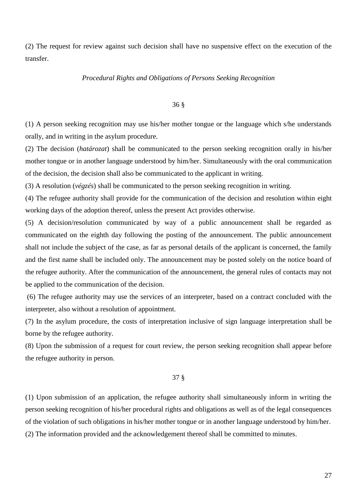(2) The request for review against such decision shall have no suspensive effect on the execution of the transfer.

#### *Procedural Rights and Obligations of Persons Seeking Recognition*

#### 36 §

(1) A person seeking recognition may use his/her mother tongue or the language which s/he understands orally, and in writing in the asylum procedure.

(2) The decision (*határozat*) shall be communicated to the person seeking recognition orally in his/her mother tongue or in another language understood by him/her. Simultaneously with the oral communication of the decision, the decision shall also be communicated to the applicant in writing.

(3) A resolution (*végzés*) shall be communicated to the person seeking recognition in writing.

(4) The refugee authority shall provide for the communication of the decision and resolution within eight working days of the adoption thereof, unless the present Act provides otherwise.

(5) A decision/resolution communicated by way of a public announcement shall be regarded as communicated on the eighth day following the posting of the announcement. The public announcement shall not include the subject of the case, as far as personal details of the applicant is concerned, the family and the first name shall be included only. The announcement may be posted solely on the notice board of the refugee authority. After the communication of the announcement, the general rules of contacts may not be applied to the communication of the decision.

(6) The refugee authority may use the services of an interpreter, based on a contract concluded with the interpreter, also without a resolution of appointment.

(7) In the asylum procedure, the costs of interpretation inclusive of sign language interpretation shall be borne by the refugee authority.

(8) Upon the submission of a request for court review, the person seeking recognition shall appear before the refugee authority in person.

#### 37 §

(1) Upon submission of an application, the refugee authority shall simultaneously inform in writing the person seeking recognition of his/her procedural rights and obligations as well as of the legal consequences of the violation of such obligations in his/her mother tongue or in another language understood by him/her. (2) The information provided and the acknowledgement thereof shall be committed to minutes.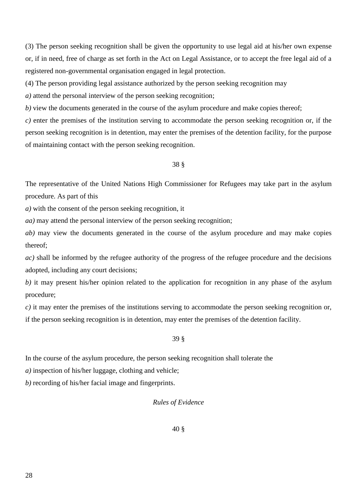(3) The person seeking recognition shall be given the opportunity to use legal aid at his/her own expense or, if in need, free of charge as set forth in the Act on Legal Assistance, or to accept the free legal aid of a registered non-governmental organisation engaged in legal protection.

(4) The person providing legal assistance authorized by the person seeking recognition may

*a)* attend the personal interview of the person seeking recognition;

*b)* view the documents generated in the course of the asylum procedure and make copies thereof;

*c)* enter the premises of the institution serving to accommodate the person seeking recognition or, if the person seeking recognition is in detention, may enter the premises of the detention facility, for the purpose of maintaining contact with the person seeking recognition.

# 38 §

The representative of the United Nations High Commissioner for Refugees may take part in the asylum procedure. As part of this

*a)* with the consent of the person seeking recognition, it

*aa)* may attend the personal interview of the person seeking recognition;

*ab*) may view the documents generated in the course of the asylum procedure and may make copies thereof;

*ac)* shall be informed by the refugee authority of the progress of the refugee procedure and the decisions adopted, including any court decisions;

*b)* it may present his/her opinion related to the application for recognition in any phase of the asylum procedure;

*c)* it may enter the premises of the institutions serving to accommodate the person seeking recognition or, if the person seeking recognition is in detention, may enter the premises of the detention facility.

# 39 §

In the course of the asylum procedure, the person seeking recognition shall tolerate the

*a)* inspection of his/her luggage, clothing and vehicle;

*b)* recording of his/her facial image and fingerprints.

# *Rules of Evidence*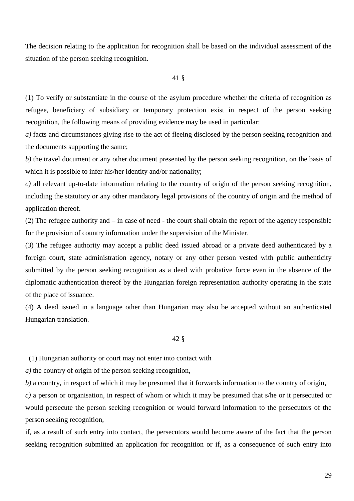The decision relating to the application for recognition shall be based on the individual assessment of the situation of the person seeking recognition.

#### 41 §

(1) To verify or substantiate in the course of the asylum procedure whether the criteria of recognition as refugee, beneficiary of subsidiary or temporary protection exist in respect of the person seeking recognition, the following means of providing evidence may be used in particular:

*a)* facts and circumstances giving rise to the act of fleeing disclosed by the person seeking recognition and the documents supporting the same;

*b)* the travel document or any other document presented by the person seeking recognition, on the basis of which it is possible to infer his/her identity and/or nationality;

*c)* all relevant up-to-date information relating to the country of origin of the person seeking recognition, including the statutory or any other mandatory legal provisions of the country of origin and the method of application thereof.

(2) The refugee authority and – in case of need - the court shall obtain the report of the agency responsible for the provision of country information under the supervision of the Minister.

(3) The refugee authority may accept a public deed issued abroad or a private deed authenticated by a foreign court, state administration agency, notary or any other person vested with public authenticity submitted by the person seeking recognition as a deed with probative force even in the absence of the diplomatic authentication thereof by the Hungarian foreign representation authority operating in the state of the place of issuance.

(4) A deed issued in a language other than Hungarian may also be accepted without an authenticated Hungarian translation.

#### 42 §

(1) Hungarian authority or court may not enter into contact with

*a)* the country of origin of the person seeking recognition,

*b)* a country, in respect of which it may be presumed that it forwards information to the country of origin,

*c)* a person or organisation, in respect of whom or which it may be presumed that s/he or it persecuted or would persecute the person seeking recognition or would forward information to the persecutors of the person seeking recognition,

if, as a result of such entry into contact, the persecutors would become aware of the fact that the person seeking recognition submitted an application for recognition or if, as a consequence of such entry into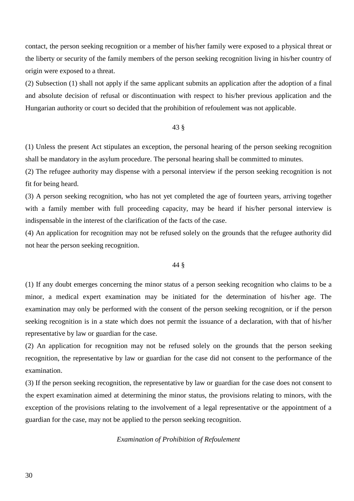contact, the person seeking recognition or a member of his/her family were exposed to a physical threat or the liberty or security of the family members of the person seeking recognition living in his/her country of origin were exposed to a threat.

(2) Subsection (1) shall not apply if the same applicant submits an application after the adoption of a final and absolute decision of refusal or discontinuation with respect to his/her previous application and the Hungarian authority or court so decided that the prohibition of refoulement was not applicable.

## 43 §

(1) Unless the present Act stipulates an exception, the personal hearing of the person seeking recognition shall be mandatory in the asylum procedure. The personal hearing shall be committed to minutes.

(2) The refugee authority may dispense with a personal interview if the person seeking recognition is not fit for being heard.

(3) A person seeking recognition, who has not yet completed the age of fourteen years, arriving together with a family member with full proceeding capacity, may be heard if his/her personal interview is indispensable in the interest of the clarification of the facts of the case.

(4) An application for recognition may not be refused solely on the grounds that the refugee authority did not hear the person seeking recognition.

### 44 §

(1) If any doubt emerges concerning the minor status of a person seeking recognition who claims to be a minor, a medical expert examination may be initiated for the determination of his/her age. The examination may only be performed with the consent of the person seeking recognition, or if the person seeking recognition is in a state which does not permit the issuance of a declaration, with that of his/her representative by law or guardian for the case.

(2) An application for recognition may not be refused solely on the grounds that the person seeking recognition, the representative by law or guardian for the case did not consent to the performance of the examination.

(3) If the person seeking recognition, the representative by law or guardian for the case does not consent to the expert examination aimed at determining the minor status, the provisions relating to minors, with the exception of the provisions relating to the involvement of a legal representative or the appointment of a guardian for the case, may not be applied to the person seeking recognition.

### *Examination of Prohibition of Refoulement*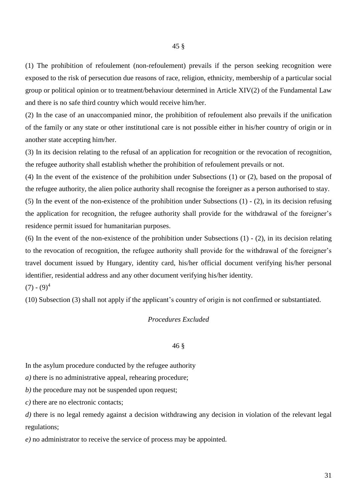(1) The prohibition of refoulement (non-refoulement) prevails if the person seeking recognition were exposed to the risk of persecution due reasons of race, religion, ethnicity, membership of a particular social group or political opinion or to treatment/behaviour determined in Article XIV(2) of the Fundamental Law and there is no safe third country which would receive him/her.

(2) In the case of an unaccompanied minor, the prohibition of refoulement also prevails if the unification of the family or any state or other institutional care is not possible either in his/her country of origin or in another state accepting him/her.

(3) In its decision relating to the refusal of an application for recognition or the revocation of recognition, the refugee authority shall establish whether the prohibition of refoulement prevails or not.

(4) In the event of the existence of the prohibition under Subsections (1) or (2), based on the proposal of the refugee authority, the alien police authority shall recognise the foreigner as a person authorised to stay.

(5) In the event of the non-existence of the prohibition under Subsections (1) - (2), in its decision refusing the application for recognition, the refugee authority shall provide for the withdrawal of the foreigner's residence permit issued for humanitarian purposes.

(6) In the event of the non-existence of the prohibition under Subsections (1) - (2), in its decision relating to the revocation of recognition, the refugee authority shall provide for the withdrawal of the foreigner's travel document issued by Hungary, identity card, his/her official document verifying his/her personal identifier, residential address and any other document verifying his/her identity.

 $(7) - (9)^4$ 

(10) Subsection (3) shall not apply if the applicant's country of origin is not confirmed or substantiated.

## *Procedures Excluded*

## 46 §

In the asylum procedure conducted by the refugee authority

*a)* there is no administrative appeal, rehearing procedure;

*b*) the procedure may not be suspended upon request;

*c)* there are no electronic contacts;

*d*) there is no legal remedy against a decision withdrawing any decision in violation of the relevant legal regulations;

*e)* no administrator to receive the service of process may be appointed.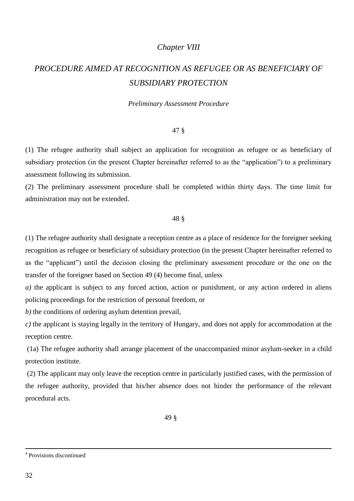# *Chapter VIII*

# *PROCEDURE AIMED AT RECOGNITION AS REFUGEE OR AS BENEFICIARY OF SUBSIDIARY PROTECTION*

#### *Preliminary Assessment Procedure*

#### 47 §

(1) The refugee authority shall subject an application for recognition as refugee or as beneficiary of subsidiary protection (in the present Chapter hereinafter referred to as the "application") to a preliminary assessment following its submission.

(2) The preliminary assessment procedure shall be completed within thirty days. The time limit for administration may not be extended.

#### 48 §

(1) The refugee authority shall designate a reception centre as a place of residence for the foreigner seeking recognition as refugee or beneficiary of subsidiary protection (in the present Chapter hereinafter referred to as the "applicant") until the decision closing the preliminary assessment procedure or the one on the transfer of the foreigner based on Section 49 (4) become final, unless

*a*) the applicant is subject to any forced action, action or punishment, or any action ordered in aliens policing proceedings for the restriction of personal freedom, or

*b)* the conditions of ordering asylum detention prevail,

*c)* the applicant is staying legally in the territory of Hungary, and does not apply for accommodation at the reception centre.

(1a) The refugee authority shall arrange placement of the unaccompanied minor asylum-seeker in a child protection institute.

(2) The applicant may only leave the reception centre in particularly justified cases, with the permission of the refugee authority, provided that his/her absence does not hinder the performance of the relevant procedural acts.

49 §

 $\overline{a}$ 

<sup>4</sup> Provisions discontinued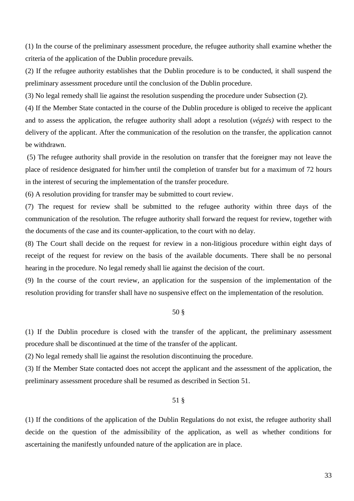(1) In the course of the preliminary assessment procedure, the refugee authority shall examine whether the criteria of the application of the Dublin procedure prevails.

(2) If the refugee authority establishes that the Dublin procedure is to be conducted, it shall suspend the preliminary assessment procedure until the conclusion of the Dublin procedure.

(3) No legal remedy shall lie against the resolution suspending the procedure under Subsection (2).

(4) If the Member State contacted in the course of the Dublin procedure is obliged to receive the applicant and to assess the application, the refugee authority shall adopt a resolution (*végzés)* with respect to the delivery of the applicant. After the communication of the resolution on the transfer, the application cannot be withdrawn.

(5) The refugee authority shall provide in the resolution on transfer that the foreigner may not leave the place of residence designated for him/her until the completion of transfer but for a maximum of 72 hours in the interest of securing the implementation of the transfer procedure.

(6) A resolution providing for transfer may be submitted to court review.

(7) The request for review shall be submitted to the refugee authority within three days of the communication of the resolution. The refugee authority shall forward the request for review, together with the documents of the case and its counter-application, to the court with no delay.

(8) The Court shall decide on the request for review in a non-litigious procedure within eight days of receipt of the request for review on the basis of the available documents. There shall be no personal hearing in the procedure. No legal remedy shall lie against the decision of the court.

(9) In the course of the court review, an application for the suspension of the implementation of the resolution providing for transfer shall have no suspensive effect on the implementation of the resolution.

# 50 §

(1) If the Dublin procedure is closed with the transfer of the applicant, the preliminary assessment procedure shall be discontinued at the time of the transfer of the applicant.

(2) No legal remedy shall lie against the resolution discontinuing the procedure.

(3) If the Member State contacted does not accept the applicant and the assessment of the application, the preliminary assessment procedure shall be resumed as described in Section 51.

#### 51 §

(1) If the conditions of the application of the Dublin Regulations do not exist, the refugee authority shall decide on the question of the admissibility of the application, as well as whether conditions for ascertaining the manifestly unfounded nature of the application are in place.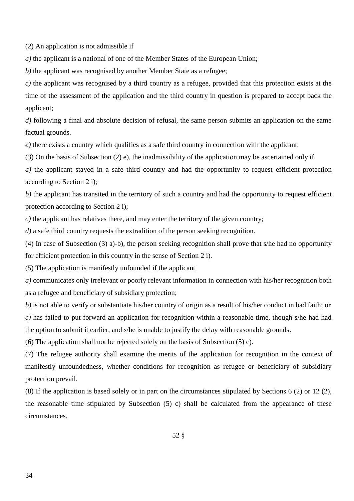(2) An application is not admissible if

*a)* the applicant is a national of one of the Member States of the European Union;

*b)* the applicant was recognised by another Member State as a refugee;

*c)* the applicant was recognised by a third country as a refugee, provided that this protection exists at the time of the assessment of the application and the third country in question is prepared to accept back the applicant;

*d*) following a final and absolute decision of refusal, the same person submits an application on the same factual grounds.

*e)* there exists a country which qualifies as a safe third country in connection with the applicant.

(3) On the basis of Subsection (2) e), the inadmissibility of the application may be ascertained only if

*a)* the applicant stayed in a safe third country and had the opportunity to request efficient protection according to Section 2 i);

*b*) the applicant has transited in the territory of such a country and had the opportunity to request efficient protection according to Section 2 i);

*c)* the applicant has relatives there, and may enter the territory of the given country;

*d)* a safe third country requests the extradition of the person seeking recognition.

(4) In case of Subsection (3) a)-b), the person seeking recognition shall prove that s/he had no opportunity for efficient protection in this country in the sense of Section 2 i).

(5) The application is manifestly unfounded if the applicant

*a)* communicates only irrelevant or poorly relevant information in connection with his/her recognition both as a refugee and beneficiary of subsidiary protection;

*b)* is not able to verify or substantiate his/her country of origin as a result of his/her conduct in bad faith; or *c)* has failed to put forward an application for recognition within a reasonable time, though s/he had had the option to submit it earlier, and s/he is unable to justify the delay with reasonable grounds.

(6) The application shall not be rejected solely on the basis of Subsection (5) c).

(7) The refugee authority shall examine the merits of the application for recognition in the context of manifestly unfoundedness, whether conditions for recognition as refugee or beneficiary of subsidiary protection prevail.

(8) If the application is based solely or in part on the circumstances stipulated by Sections 6 (2) or 12 (2), the reasonable time stipulated by Subsection (5) c) shall be calculated from the appearance of these circumstances.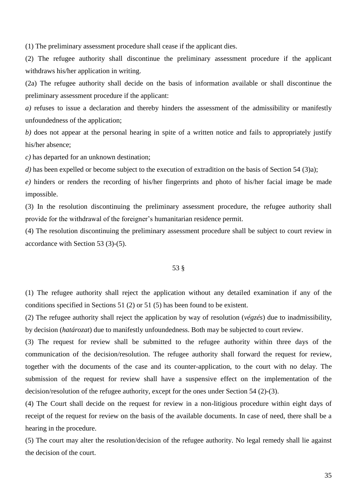(1) The preliminary assessment procedure shall cease if the applicant dies.

(2) The refugee authority shall discontinue the preliminary assessment procedure if the applicant withdraws his/her application in writing.

(2a) The refugee authority shall decide on the basis of information available or shall discontinue the preliminary assessment procedure if the applicant:

*a)* refuses to issue a declaration and thereby hinders the assessment of the admissibility or manifestly unfoundedness of the application;

*b)* does not appear at the personal hearing in spite of a written notice and fails to appropriately justify his/her absence;

*c)* has departed for an unknown destination;

*d*) has been expelled or become subject to the execution of extradition on the basis of Section 54 (3)a);

*e)* hinders or renders the recording of his/her fingerprints and photo of his/her facial image be made impossible.

(3) In the resolution discontinuing the preliminary assessment procedure, the refugee authority shall provide for the withdrawal of the foreigner's humanitarian residence permit.

(4) The resolution discontinuing the preliminary assessment procedure shall be subject to court review in accordance with Section 53 (3)-(5).

#### 53 §

(1) The refugee authority shall reject the application without any detailed examination if any of the conditions specified in Sections 51 (2) or 51 (5) has been found to be existent.

(2) The refugee authority shall reject the application by way of resolution (*végzés*) due to inadmissibility, by decision (*határozat*) due to manifestly unfoundedness. Both may be subjected to court review.

(3) The request for review shall be submitted to the refugee authority within three days of the communication of the decision/resolution. The refugee authority shall forward the request for review, together with the documents of the case and its counter-application, to the court with no delay. The submission of the request for review shall have a suspensive effect on the implementation of the decision/resolution of the refugee authority, except for the ones under Section 54 (2)-(3).

(4) The Court shall decide on the request for review in a non-litigious procedure within eight days of receipt of the request for review on the basis of the available documents. In case of need, there shall be a hearing in the procedure.

(5) The court may alter the resolution/decision of the refugee authority. No legal remedy shall lie against the decision of the court.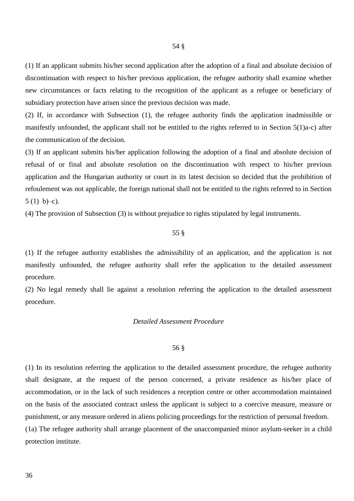(1) If an applicant submits his/her second application after the adoption of a final and absolute decision of discontinuation with respect to his/her previous application, the refugee authority shall examine whether new circumstances or facts relating to the recognition of the applicant as a refugee or beneficiary of subsidiary protection have arisen since the previous decision was made.

(2) If, in accordance with Subsection (1), the refugee authority finds the application inadmissible or manifestly unfounded, the applicant shall not be entitled to the rights referred to in Section 5(1)a-c) after the communication of the decision.

(3) If an applicant submits his/her application following the adoption of a final and absolute decision of refusal of or final and absolute resolution on the discontinuation with respect to his/her previous application and the Hungarian authority or court in its latest decision so decided that the prohibition of refoulement was not applicable, the foreign national shall not be entitled to the rights referred to in Section 5 $(1)$  b)–c).

(4) The provision of Subsection (3) is without prejudice to rights stipulated by legal instruments.

#### 55 §

(1) If the refugee authority establishes the admissibility of an application, and the application is not manifestly unfounded, the refugee authority shall refer the application to the detailed assessment procedure.

(2) No legal remedy shall lie against a resolution referring the application to the detailed assessment procedure.

#### *Detailed Assessment Procedure*

#### 56 §

(1) In its resolution referring the application to the detailed assessment procedure, the refugee authority shall designate, at the request of the person concerned, a private residence as his/her place of accommodation, or in the lack of such residences a reception centre or other accommodation maintained on the basis of the associated contract unless the applicant is subject to a coercive measure, measure or punishment, or any measure ordered in aliens policing proceedings for the restriction of personal freedom. (1a) The refugee authority shall arrange placement of the unaccompanied minor asylum-seeker in a child protection institute.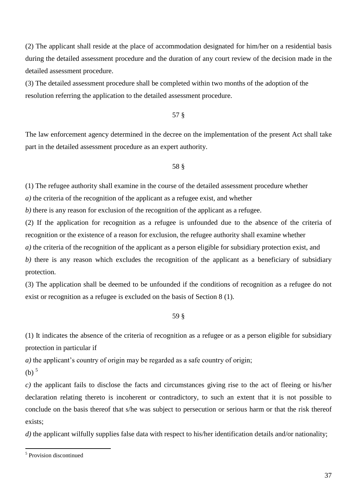(2) The applicant shall reside at the place of accommodation designated for him/her on a residential basis during the detailed assessment procedure and the duration of any court review of the decision made in the detailed assessment procedure.

(3) The detailed assessment procedure shall be completed within two months of the adoption of the resolution referring the application to the detailed assessment procedure.

57 §

The law enforcement agency determined in the decree on the implementation of the present Act shall take part in the detailed assessment procedure as an expert authority.

## 58 §

(1) The refugee authority shall examine in the course of the detailed assessment procedure whether

*a)* the criteria of the recognition of the applicant as a refugee exist, and whether

*b)* there is any reason for exclusion of the recognition of the applicant as a refugee.

(2) If the application for recognition as a refugee is unfounded due to the absence of the criteria of recognition or the existence of a reason for exclusion, the refugee authority shall examine whether

*a)* the criteria of the recognition of the applicant as a person eligible for subsidiary protection exist, and

*b)* there is any reason which excludes the recognition of the applicant as a beneficiary of subsidiary protection.

(3) The application shall be deemed to be unfounded if the conditions of recognition as a refugee do not exist or recognition as a refugee is excluded on the basis of Section 8 (1).

59 §

(1) It indicates the absence of the criteria of recognition as a refugee or as a person eligible for subsidiary protection in particular if

*a)* the applicant's country of origin may be regarded as a safe country of origin;

 $(b)$ <sup>5</sup>

*c)* the applicant fails to disclose the facts and circumstances giving rise to the act of fleeing or his/her declaration relating thereto is incoherent or contradictory, to such an extent that it is not possible to conclude on the basis thereof that s/he was subject to persecution or serious harm or that the risk thereof exists;

*d*) the applicant wilfully supplies false data with respect to his/her identification details and/or nationality;

 5 Provision discontinued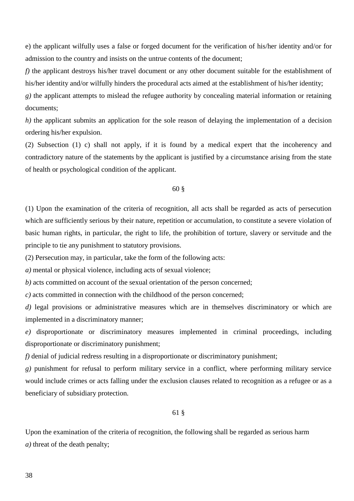e) the applicant wilfully uses a false or forged document for the verification of his/her identity and/or for admission to the country and insists on the untrue contents of the document;

*f)* the applicant destroys his/her travel document or any other document suitable for the establishment of his/her identity and/or wilfully hinders the procedural acts aimed at the establishment of his/her identity;

*g)* the applicant attempts to mislead the refugee authority by concealing material information or retaining documents;

*h*) the applicant submits an application for the sole reason of delaying the implementation of a decision ordering his/her expulsion.

(2) Subsection (1) c) shall not apply, if it is found by a medical expert that the incoherency and contradictory nature of the statements by the applicant is justified by a circumstance arising from the state of health or psychological condition of the applicant.

#### 60 §

(1) Upon the examination of the criteria of recognition, all acts shall be regarded as acts of persecution which are sufficiently serious by their nature, repetition or accumulation, to constitute a severe violation of basic human rights, in particular, the right to life, the prohibition of torture, slavery or servitude and the principle to tie any punishment to statutory provisions.

(2) Persecution may, in particular, take the form of the following acts:

*a)* mental or physical violence, including acts of sexual violence;

*b*) acts committed on account of the sexual orientation of the person concerned;

*c)* acts committed in connection with the childhood of the person concerned;

*d)* legal provisions or administrative measures which are in themselves discriminatory or which are implemented in a discriminatory manner;

*e)* disproportionate or discriminatory measures implemented in criminal proceedings, including disproportionate or discriminatory punishment;

*f)* denial of judicial redress resulting in a disproportionate or discriminatory punishment;

*g)* punishment for refusal to perform military service in a conflict, where performing military service would include crimes or acts falling under the exclusion clauses related to recognition as a refugee or as a beneficiary of subsidiary protection.

61 §

Upon the examination of the criteria of recognition, the following shall be regarded as serious harm *a)* threat of the death penalty;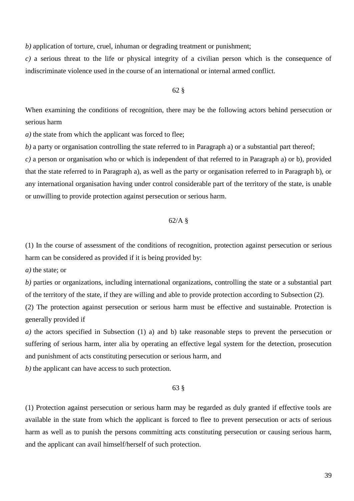*b*) application of torture, cruel, inhuman or degrading treatment or punishment;

*c)* a serious threat to the life or physical integrity of a civilian person which is the consequence of indiscriminate violence used in the course of an international or internal armed conflict.

#### 62 §

When examining the conditions of recognition, there may be the following actors behind persecution or serious harm

*a)* the state from which the applicant was forced to flee;

*b)* a party or organisation controlling the state referred to in Paragraph a) or a substantial part thereof;

*c)* a person or organisation who or which is independent of that referred to in Paragraph a) or b), provided that the state referred to in Paragraph a), as well as the party or organisation referred to in Paragraph b), or any international organisation having under control considerable part of the territory of the state, is unable or unwilling to provide protection against persecution or serious harm.

# 62/A §

(1) In the course of assessment of the conditions of recognition, protection against persecution or serious harm can be considered as provided if it is being provided by:

*a)* the state; or

*b)* parties or organizations, including international organizations, controlling the state or a substantial part of the territory of the state, if they are willing and able to provide protection according to Subsection (2).

(2) The protection against persecution or serious harm must be effective and sustainable. Protection is generally provided if

*a)* the actors specified in Subsection (1) a) and b) take reasonable steps to prevent the persecution or suffering of serious harm, inter alia by operating an effective legal system for the detection, prosecution and punishment of acts constituting persecution or serious harm, and

*b)* the applicant can have access to such protection.

#### 63 §

(1) Protection against persecution or serious harm may be regarded as duly granted if effective tools are available in the state from which the applicant is forced to flee to prevent persecution or acts of serious harm as well as to punish the persons committing acts constituting persecution or causing serious harm, and the applicant can avail himself/herself of such protection.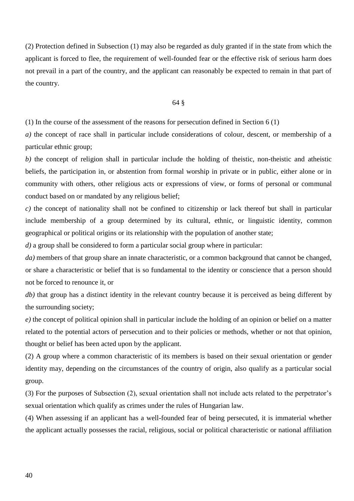(2) Protection defined in Subsection (1) may also be regarded as duly granted if in the state from which the applicant is forced to flee, the requirement of well-founded fear or the effective risk of serious harm does not prevail in a part of the country, and the applicant can reasonably be expected to remain in that part of the country.

#### 64 §

(1) In the course of the assessment of the reasons for persecution defined in Section 6 (1)

*a)* the concept of race shall in particular include considerations of colour, descent, or membership of a particular ethnic group;

*b)* the concept of religion shall in particular include the holding of theistic, non-theistic and atheistic beliefs, the participation in, or abstention from formal worship in private or in public, either alone or in community with others, other religious acts or expressions of view, or forms of personal or communal conduct based on or mandated by any religious belief;

*c)* the concept of nationality shall not be confined to citizenship or lack thereof but shall in particular include membership of a group determined by its cultural, ethnic, or linguistic identity, common geographical or political origins or its relationship with the population of another state;

*d*) a group shall be considered to form a particular social group where in particular:

*da*) members of that group share an innate characteristic, or a common background that cannot be changed, or share a characteristic or belief that is so fundamental to the identity or conscience that a person should not be forced to renounce it, or

*db)* that group has a distinct identity in the relevant country because it is perceived as being different by the surrounding society;

*e)* the concept of political opinion shall in particular include the holding of an opinion or belief on a matter related to the potential actors of persecution and to their policies or methods, whether or not that opinion, thought or belief has been acted upon by the applicant.

(2) A group where a common characteristic of its members is based on their sexual orientation or gender identity may, depending on the circumstances of the country of origin, also qualify as a particular social group.

(3) For the purposes of Subsection (2), sexual orientation shall not include acts related to the perpetrator's sexual orientation which qualify as crimes under the rules of Hungarian law.

(4) When assessing if an applicant has a well-founded fear of being persecuted, it is immaterial whether the applicant actually possesses the racial, religious, social or political characteristic or national affiliation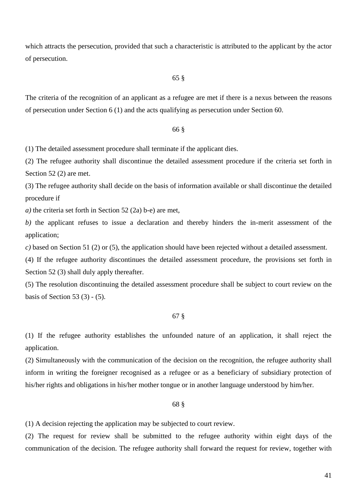which attracts the persecution, provided that such a characteristic is attributed to the applicant by the actor of persecution.

#### 65 §

The criteria of the recognition of an applicant as a refugee are met if there is a nexus between the reasons of persecution under Section 6 (1) and the acts qualifying as persecution under Section 60.

#### 66 §

(1) The detailed assessment procedure shall terminate if the applicant dies.

(2) The refugee authority shall discontinue the detailed assessment procedure if the criteria set forth in Section 52 (2) are met.

(3) The refugee authority shall decide on the basis of information available or shall discontinue the detailed procedure if

*a)* the criteria set forth in Section 52 (2a) b-e) are met,

*b)* the applicant refuses to issue a declaration and thereby hinders the in-merit assessment of the application;

*c)* based on Section 51 (2) or (5), the application should have been rejected without a detailed assessment.

(4) If the refugee authority discontinues the detailed assessment procedure, the provisions set forth in Section 52 (3) shall duly apply thereafter.

(5) The resolution discontinuing the detailed assessment procedure shall be subject to court review on the basis of Section 53 $(3)$  -  $(5)$ .

# 67 §

(1) If the refugee authority establishes the unfounded nature of an application, it shall reject the application.

(2) Simultaneously with the communication of the decision on the recognition, the refugee authority shall inform in writing the foreigner recognised as a refugee or as a beneficiary of subsidiary protection of his/her rights and obligations in his/her mother tongue or in another language understood by him/her.

#### 68 §

(1) A decision rejecting the application may be subjected to court review.

(2) The request for review shall be submitted to the refugee authority within eight days of the communication of the decision. The refugee authority shall forward the request for review, together with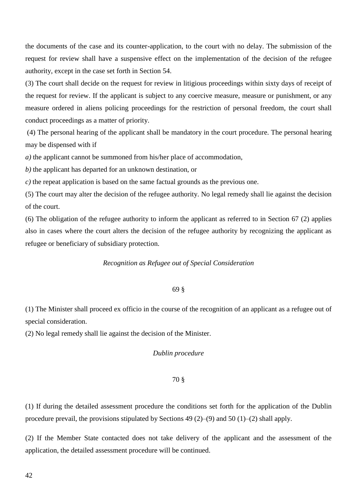the documents of the case and its counter-application, to the court with no delay. The submission of the request for review shall have a suspensive effect on the implementation of the decision of the refugee authority, except in the case set forth in Section 54.

(3) The court shall decide on the request for review in litigious proceedings within sixty days of receipt of the request for review. If the applicant is subject to any coercive measure, measure or punishment, or any measure ordered in aliens policing proceedings for the restriction of personal freedom, the court shall conduct proceedings as a matter of priority.

(4) The personal hearing of the applicant shall be mandatory in the court procedure. The personal hearing may be dispensed with if

*a)* the applicant cannot be summoned from his/her place of accommodation,

*b)* the applicant has departed for an unknown destination, or

*c)* the repeat application is based on the same factual grounds as the previous one.

(5) The court may alter the decision of the refugee authority. No legal remedy shall lie against the decision of the court.

(6) The obligation of the refugee authority to inform the applicant as referred to in Section 67 (2) applies also in cases where the court alters the decision of the refugee authority by recognizing the applicant as refugee or beneficiary of subsidiary protection.

#### *Recognition as Refugee out of Special Consideration*

#### 69 §

(1) The Minister shall proceed ex officio in the course of the recognition of an applicant as a refugee out of special consideration.

(2) No legal remedy shall lie against the decision of the Minister.

### *Dublin procedure*

#### 70 §

(1) If during the detailed assessment procedure the conditions set forth for the application of the Dublin procedure prevail, the provisions stipulated by Sections 49 (2)–(9) and 50 (1)–(2) shall apply.

(2) If the Member State contacted does not take delivery of the applicant and the assessment of the application, the detailed assessment procedure will be continued.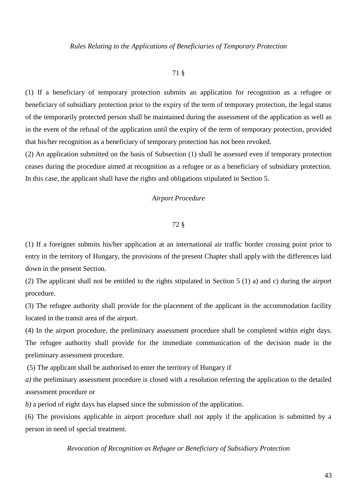# 71 §

(1) If a beneficiary of temporary protection submits an application for recognition as a refugee or beneficiary of subsidiary protection prior to the expiry of the term of temporary protection, the legal status of the temporarily protected person shall be maintained during the assessment of the application as well as in the event of the refusal of the application until the expiry of the term of temporary protection, provided that his/her recognition as a beneficiary of temporary protection has not been revoked.

(2) An application submitted on the basis of Subsection (1) shall be assessed even if temporary protection ceases during the procedure aimed at recognition as a refugee or as a beneficiary of subsidiary protection. In this case, the applicant shall have the rights and obligations stipulated in Section 5.

# *Airport Procedure*

#### 72 §

(1) If a foreigner submits his/her application at an international air traffic border crossing point prior to entry in the territory of Hungary, the provisions of the present Chapter shall apply with the differences laid down in the present Section.

(2) The applicant shall not be entitled to the rights stipulated in Section 5 (1) a) and c) during the airport procedure.

(3) The refugee authority shall provide for the placement of the applicant in the accommodation facility located in the transit area of the airport.

(4) In the airport procedure, the preliminary assessment procedure shall be completed within eight days. The refugee authority shall provide for the immediate communication of the decision made in the preliminary assessment procedure.

(5) The applicant shall be authorised to enter the territory of Hungary if

*a)* the preliminary assessment procedure is closed with a resolution referring the application to the detailed assessment procedure or

*b)* a period of eight days has elapsed since the submission of the application.

(6) The provisions applicable in airport procedure shall not apply if the application is submitted by a person in need of special treatment.

*Revocation of Recognition as Refugee or Beneficiary of Subsidiary Protection*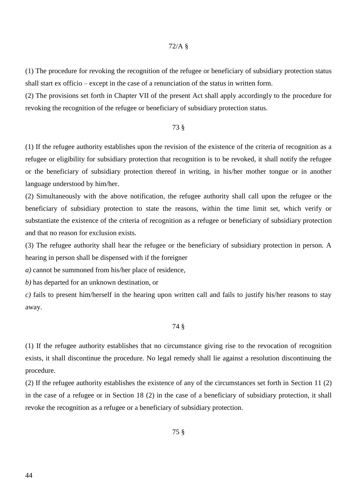#### 72/A §

(1) The procedure for revoking the recognition of the refugee or beneficiary of subsidiary protection status shall start ex officio – except in the case of a renunciation of the status in written form.

(2) The provisions set forth in Chapter VII of the present Act shall apply accordingly to the procedure for revoking the recognition of the refugee or beneficiary of subsidiary protection status.

## 73 §

(1) If the refugee authority establishes upon the revision of the existence of the criteria of recognition as a refugee or eligibility for subsidiary protection that recognition is to be revoked, it shall notify the refugee or the beneficiary of subsidiary protection thereof in writing, in his/her mother tongue or in another language understood by him/her.

(2) Simultaneously with the above notification, the refugee authority shall call upon the refugee or the beneficiary of subsidiary protection to state the reasons, within the time limit set, which verify or substantiate the existence of the criteria of recognition as a refugee or beneficiary of subsidiary protection and that no reason for exclusion exists.

(3) The refugee authority shall hear the refugee or the beneficiary of subsidiary protection in person. A hearing in person shall be dispensed with if the foreigner

*a)* cannot be summoned from his/her place of residence,

*b)* has departed for an unknown destination, or

*c)* fails to present him/herself in the hearing upon written call and fails to justify his/her reasons to stay away.

#### 74 §

(1) If the refugee authority establishes that no circumstance giving rise to the revocation of recognition exists, it shall discontinue the procedure. No legal remedy shall lie against a resolution discontinuing the procedure.

(2) If the refugee authority establishes the existence of any of the circumstances set forth in Section 11 (2) in the case of a refugee or in Section 18 (2) in the case of a beneficiary of subsidiary protection, it shall revoke the recognition as a refugee or a beneficiary of subsidiary protection.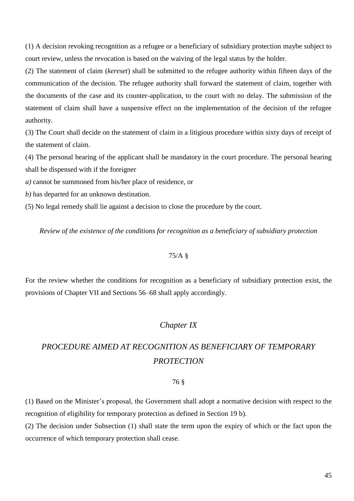(1) A decision revoking recognition as a refugee or a beneficiary of subsidiary protection maybe subject to court review, unless the revocation is based on the waiving of the legal status by the holder.

(2) The statement of claim (*kereset*) shall be submitted to the refugee authority within fifteen days of the communication of the decision. The refugee authority shall forward the statement of claim, together with the documents of the case and its counter-application, to the court with no delay. The submission of the statement of claim shall have a suspensive effect on the implementation of the decision of the refugee authority.

(3) The Court shall decide on the statement of claim in a litigious procedure within sixty days of receipt of the statement of claim.

(4) The personal hearing of the applicant shall be mandatory in the court procedure. The personal hearing shall be dispensed with if the foreigner

*a)* cannot be summoned from his/her place of residence, or

*b)* has departed for an unknown destination.

(5) No legal remedy shall lie against a decision to close the procedure by the court.

*Review of the existence of the conditions for recognition as a beneficiary of subsidiary protection*

# 75/A §

For the review whether the conditions for recognition as a beneficiary of subsidiary protection exist, the provisions of Chapter VII and Sections 56–68 shall apply accordingly.

# *Chapter IX*

# *PROCEDURE AIMED AT RECOGNITION AS BENEFICIARY OF TEMPORARY PROTECTION*

## 76 §

(1) Based on the Minister's proposal, the Government shall adopt a normative decision with respect to the recognition of eligibility for temporary protection as defined in Section 19 b).

(2) The decision under Subsection (1) shall state the term upon the expiry of which or the fact upon the occurrence of which temporary protection shall cease.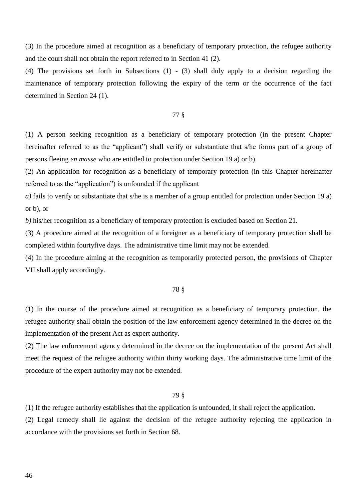(3) In the procedure aimed at recognition as a beneficiary of temporary protection, the refugee authority and the court shall not obtain the report referred to in Section 41 (2).

(4) The provisions set forth in Subsections (1) - (3) shall duly apply to a decision regarding the maintenance of temporary protection following the expiry of the term or the occurrence of the fact determined in Section 24 (1).

#### 77 §

(1) A person seeking recognition as a beneficiary of temporary protection (in the present Chapter hereinafter referred to as the "applicant") shall verify or substantiate that s/he forms part of a group of persons fleeing *en masse* who are entitled to protection under Section 19 a) or b).

(2) An application for recognition as a beneficiary of temporary protection (in this Chapter hereinafter referred to as the "application") is unfounded if the applicant

*a)* fails to verify or substantiate that s/he is a member of a group entitled for protection under Section 19 a) or b), or

*b)* his/her recognition as a beneficiary of temporary protection is excluded based on Section 21.

(3) A procedure aimed at the recognition of a foreigner as a beneficiary of temporary protection shall be completed within fourtyfive days. The administrative time limit may not be extended.

(4) In the procedure aiming at the recognition as temporarily protected person, the provisions of Chapter VII shall apply accordingly.

#### 78 §

(1) In the course of the procedure aimed at recognition as a beneficiary of temporary protection, the refugee authority shall obtain the position of the law enforcement agency determined in the decree on the implementation of the present Act as expert authority.

(2) The law enforcement agency determined in the decree on the implementation of the present Act shall meet the request of the refugee authority within thirty working days. The administrative time limit of the procedure of the expert authority may not be extended.

#### 79 §

(1) If the refugee authority establishes that the application is unfounded, it shall reject the application.

(2) Legal remedy shall lie against the decision of the refugee authority rejecting the application in accordance with the provisions set forth in Section 68.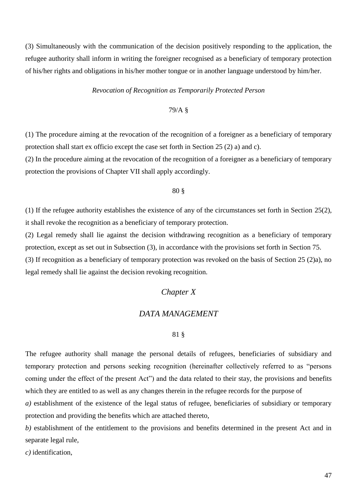(3) Simultaneously with the communication of the decision positively responding to the application, the refugee authority shall inform in writing the foreigner recognised as a beneficiary of temporary protection of his/her rights and obligations in his/her mother tongue or in another language understood by him/her.

#### *Revocation of Recognition as Temporarily Protected Person*

# 79/A §

(1) The procedure aiming at the revocation of the recognition of a foreigner as a beneficiary of temporary protection shall start ex officio except the case set forth in Section 25 (2) a) and c).

(2) In the procedure aiming at the revocation of the recognition of a foreigner as a beneficiary of temporary protection the provisions of Chapter VII shall apply accordingly.

#### 80 §

(1) If the refugee authority establishes the existence of any of the circumstances set forth in Section 25(2), it shall revoke the recognition as a beneficiary of temporary protection.

(2) Legal remedy shall lie against the decision withdrawing recognition as a beneficiary of temporary protection, except as set out in Subsection (3), in accordance with the provisions set forth in Section 75.

(3) If recognition as a beneficiary of temporary protection was revoked on the basis of Section 25 (2)a), no legal remedy shall lie against the decision revoking recognition.

# *Chapter X*

#### *DATA MANAGEMENT*

#### 81 §

The refugee authority shall manage the personal details of refugees, beneficiaries of subsidiary and temporary protection and persons seeking recognition (hereinafter collectively referred to as "persons coming under the effect of the present Act") and the data related to their stay, the provisions and benefits which they are entitled to as well as any changes therein in the refugee records for the purpose of

*a)* establishment of the existence of the legal status of refugee, beneficiaries of subsidiary or temporary protection and providing the benefits which are attached thereto,

*b)* establishment of the entitlement to the provisions and benefits determined in the present Act and in separate legal rule,

*c)* identification,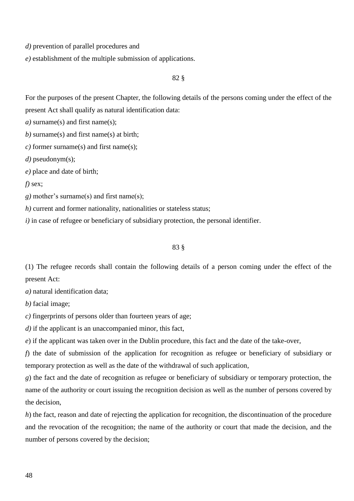*d)* prevention of parallel procedures and

*e)* establishment of the multiple submission of applications.

82 §

For the purposes of the present Chapter, the following details of the persons coming under the effect of the present Act shall qualify as natural identification data:

*a)* surname(s) and first name(s);

*b)* surname(s) and first name(s) at birth;

*c)* former surname(s) and first name(s);

*d)* pseudonym(s);

*e)* place and date of birth;

*f)* sex;

*g)* mother's surname(s) and first name(s);

*h*) current and former nationality, nationalities or stateless status;

*i*) in case of refugee or beneficiary of subsidiary protection, the personal identifier.

#### 83 §

(1) The refugee records shall contain the following details of a person coming under the effect of the present Act:

*a)* natural identification data;

*b)* facial image;

*c)* fingerprints of persons older than fourteen years of age;

*d)* if the applicant is an unaccompanied minor, this fact,

*e*) if the applicant was taken over in the Dublin procedure, this fact and the date of the take-over,

*f*) the date of submission of the application for recognition as refugee or beneficiary of subsidiary or temporary protection as well as the date of the withdrawal of such application*,*

*g*) the fact and the date of recognition as refugee or beneficiary of subsidiary or temporary protection, the name of the authority or court issuing the recognition decision as well as the number of persons covered by the decision,

*h*) the fact, reason and date of rejecting the application for recognition, the discontinuation of the procedure and the revocation of the recognition; the name of the authority or court that made the decision, and the number of persons covered by the decision;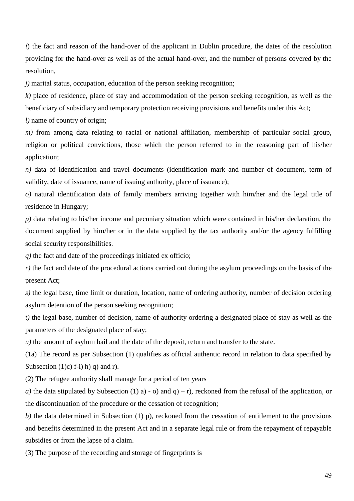*i*) the fact and reason of the hand-over of the applicant in Dublin procedure, the dates of the resolution providing for the hand-over as well as of the actual hand-over, and the number of persons covered by the resolution,

*j)* marital status, occupation, education of the person seeking recognition;

*k)* place of residence, place of stay and accommodation of the person seeking recognition, as well as the beneficiary of subsidiary and temporary protection receiving provisions and benefits under this Act;

*l)* name of country of origin;

*m)* from among data relating to racial or national affiliation, membership of particular social group, religion or political convictions, those which the person referred to in the reasoning part of his/her application;

*n*) data of identification and travel documents (identification mark and number of document, term of validity, date of issuance, name of issuing authority, place of issuance);

*o)* natural identification data of family members arriving together with him/her and the legal title of residence in Hungary;

*p)* data relating to his/her income and pecuniary situation which were contained in his/her declaration, the document supplied by him/her or in the data supplied by the tax authority and/or the agency fulfilling social security responsibilities.

*q*) the fact and date of the proceedings initiated ex officio;

*r)* the fact and date of the procedural actions carried out during the asylum proceedings on the basis of the present Act;

*s)* the legal base, time limit or duration, location, name of ordering authority, number of decision ordering asylum detention of the person seeking recognition;

*t)* the legal base, number of decision, name of authority ordering a designated place of stay as well as the parameters of the designated place of stay;

*u*) the amount of asylum bail and the date of the deposit, return and transfer to the state.

(1a) The record as per Subsection (1) qualifies as official authentic record in relation to data specified by Subsection (1)c) f-i) h) q) and r).

(2) The refugee authority shall manage for a period of ten years

*a)* the data stipulated by Subsection (1) a) - o) and  $q$ ) – r), reckoned from the refusal of the application, or the discontinuation of the procedure or the cessation of recognition;

*b)* the data determined in Subsection (1) p), reckoned from the cessation of entitlement to the provisions and benefits determined in the present Act and in a separate legal rule or from the repayment of repayable subsidies or from the lapse of a claim.

(3) The purpose of the recording and storage of fingerprints is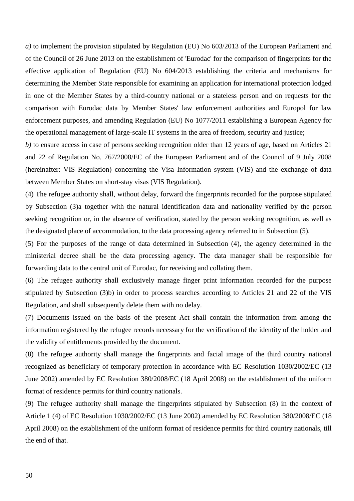*a)* to implement the provision stipulated by Regulation (EU) No 603/2013 of the European Parliament and of the Council of 26 June 2013 on the establishment of 'Eurodac' for the comparison of fingerprints for the effective application of Regulation (EU) No 604/2013 establishing the criteria and mechanisms for determining the Member State responsible for examining an application for international protection lodged in one of the Member States by a third-country national or a stateless person and on requests for the comparison with Eurodac data by Member States' law enforcement authorities and Europol for law enforcement purposes, and amending Regulation (EU) No 1077/2011 establishing a European Agency for the operational management of large-scale IT systems in the area of freedom, security and justice;

*b)* to ensure access in case of persons seeking recognition older than 12 years of age, based on Articles 21 and 22 of Regulation No. 767/2008/EC of the European Parliament and of the Council of 9 July 2008 (hereinafter: VIS Regulation) concerning the Visa Information system (VIS) and the exchange of data between Member States on short-stay visas (VIS Regulation).

(4) The refugee authority shall, without delay, forward the fingerprints recorded for the purpose stipulated by Subsection (3)a together with the natural identification data and nationality verified by the person seeking recognition or, in the absence of verification, stated by the person seeking recognition, as well as the designated place of accommodation, to the data processing agency referred to in Subsection (5).

(5) For the purposes of the range of data determined in Subsection (4), the agency determined in the ministerial decree shall be the data processing agency. The data manager shall be responsible for forwarding data to the central unit of Eurodac, for receiving and collating them.

(6) The refugee authority shall exclusively manage finger print information recorded for the purpose stipulated by Subsection (3)b) in order to process searches according to Articles 21 and 22 of the VIS Regulation, and shall subsequently delete them with no delay.

(7) Documents issued on the basis of the present Act shall contain the information from among the information registered by the refugee records necessary for the verification of the identity of the holder and the validity of entitlements provided by the document.

(8) The refugee authority shall manage the fingerprints and facial image of the third country national recognized as beneficiary of temporary protection in accordance with EC Resolution 1030/2002/EC (13 June 2002) amended by EC Resolution 380/2008/EC (18 April 2008) on the establishment of the uniform format of residence permits for third country nationals.

(9) The refugee authority shall manage the fingerprints stipulated by Subsection (8) in the context of Article 1 (4) of EC Resolution 1030/2002/EC (13 June 2002) amended by EC Resolution 380/2008/EC (18 April 2008) on the establishment of the uniform format of residence permits for third country nationals, till the end of that.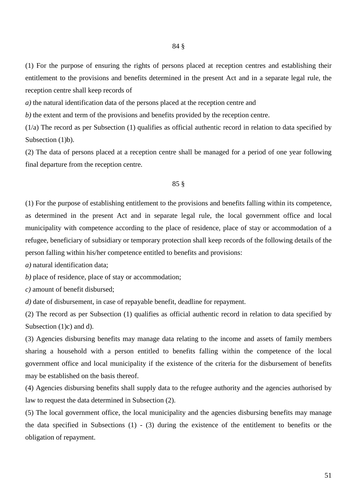(1) For the purpose of ensuring the rights of persons placed at reception centres and establishing their entitlement to the provisions and benefits determined in the present Act and in a separate legal rule, the reception centre shall keep records of

*a)* the natural identification data of the persons placed at the reception centre and

*b*) the extent and term of the provisions and benefits provided by the reception centre.

(1/a) The record as per Subsection (1) qualifies as official authentic record in relation to data specified by Subsection (1)b).

(2) The data of persons placed at a reception centre shall be managed for a period of one year following final departure from the reception centre.

#### 85 §

(1) For the purpose of establishing entitlement to the provisions and benefits falling within its competence, as determined in the present Act and in separate legal rule, the local government office and local municipality with competence according to the place of residence, place of stay or accommodation of a refugee, beneficiary of subsidiary or temporary protection shall keep records of the following details of the person falling within his/her competence entitled to benefits and provisions:

*a)* natural identification data;

*b)* place of residence, place of stay or accommodation;

*c)* amount of benefit disbursed;

*d*) date of disbursement, in case of repayable benefit, deadline for repayment.

(2) The record as per Subsection (1) qualifies as official authentic record in relation to data specified by Subsection (1)c) and d).

(3) Agencies disbursing benefits may manage data relating to the income and assets of family members sharing a household with a person entitled to benefits falling within the competence of the local government office and local municipality if the existence of the criteria for the disbursement of benefits may be established on the basis thereof.

(4) Agencies disbursing benefits shall supply data to the refugee authority and the agencies authorised by law to request the data determined in Subsection (2).

(5) The local government office, the local municipality and the agencies disbursing benefits may manage the data specified in Subsections (1) - (3) during the existence of the entitlement to benefits or the obligation of repayment.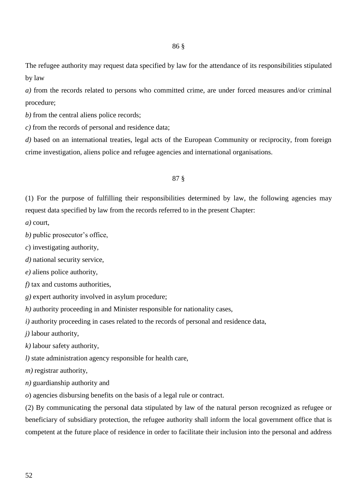The refugee authority may request data specified by law for the attendance of its responsibilities stipulated by law

*a)* from the records related to persons who committed crime, are under forced measures and/or criminal procedure;

*b*) from the central aliens police records;

*c)* from the records of personal and residence data;

*d*) based on an international treaties, legal acts of the European Community or reciprocity, from foreign crime investigation, aliens police and refugee agencies and international organisations.

#### 87 §

(1) For the purpose of fulfilling their responsibilities determined by law, the following agencies may request data specified by law from the records referred to in the present Chapter:

*a)* court,

*b)* public prosecutor's office,

*c*) investigating authority,

*d)* national security service,

*e)* aliens police authority,

*f*) tax and customs authorities,

*g)* expert authority involved in asylum procedure;

*h)* authority proceeding in and Minister responsible for nationality cases,

*i*) authority proceeding in cases related to the records of personal and residence data,

*j)* labour authority,

*k)* labour safety authority,

*l)* state administration agency responsible for health care,

*m)* registrar authority,

*n)* guardianship authority and

*o*) agencies disbursing benefits on the basis of a legal rule or contract.

(2) By communicating the personal data stipulated by law of the natural person recognized as refugee or beneficiary of subsidiary protection, the refugee authority shall inform the local government office that is competent at the future place of residence in order to facilitate their inclusion into the personal and address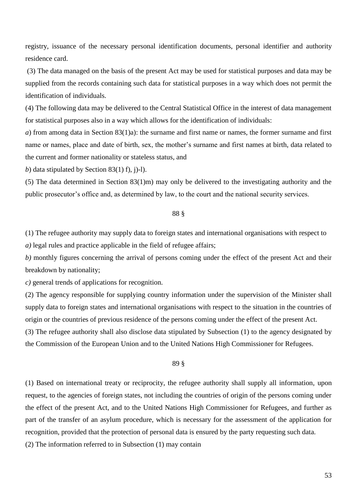registry, issuance of the necessary personal identification documents, personal identifier and authority residence card.

(3) The data managed on the basis of the present Act may be used for statistical purposes and data may be supplied from the records containing such data for statistical purposes in a way which does not permit the identification of individuals.

(4) The following data may be delivered to the Central Statistical Office in the interest of data management for statistical purposes also in a way which allows for the identification of individuals:

*a*) from among data in Section 83(1)a): the surname and first name or names, the former surname and first name or names, place and date of birth, sex, the mother's surname and first names at birth, data related to the current and former nationality or stateless status, and

*b*) data stipulated by Section 83(1) f), j)-1).

(5) The data determined in Section 83(1)m) may only be delivered to the investigating authority and the public prosecutor's office and, as determined by law, to the court and the national security services.

# 88 §

(1) The refugee authority may supply data to foreign states and international organisations with respect to *a)* legal rules and practice applicable in the field of refugee affairs;

*b)* monthly figures concerning the arrival of persons coming under the effect of the present Act and their breakdown by nationality;

*c)* general trends of applications for recognition.

(2) The agency responsible for supplying country information under the supervision of the Minister shall supply data to foreign states and international organisations with respect to the situation in the countries of origin or the countries of previous residence of the persons coming under the effect of the present Act.

(3) The refugee authority shall also disclose data stipulated by Subsection (1) to the agency designated by the Commission of the European Union and to the United Nations High Commissioner for Refugees.

# 89 §

(1) Based on international treaty or reciprocity, the refugee authority shall supply all information, upon request, to the agencies of foreign states, not including the countries of origin of the persons coming under the effect of the present Act, and to the United Nations High Commissioner for Refugees, and further as part of the transfer of an asylum procedure, which is necessary for the assessment of the application for recognition, provided that the protection of personal data is ensured by the party requesting such data.

(2) The information referred to in Subsection (1) may contain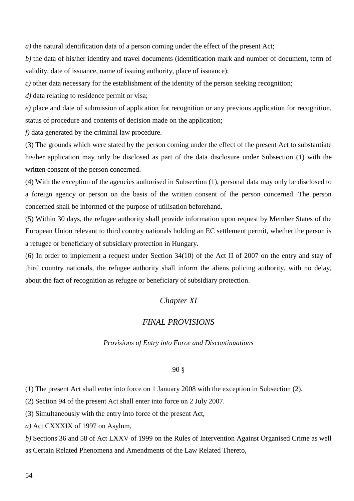*a)* the natural identification data of a person coming under the effect of the present Act;

*b)* the data of his/her identity and travel documents (identification mark and number of document, term of validity, date of issuance, name of issuing authority, place of issuance);

*c)* other data necessary for the establishment of the identity of the person seeking recognition;

*d*) data relating to residence permit or visa;

*e)* place and date of submission of application for recognition or any previous application for recognition, status of procedure and contents of decision made on the application;

*f*) data generated by the criminal law procedure.

(3) The grounds which were stated by the person coming under the effect of the present Act to substantiate his/her application may only be disclosed as part of the data disclosure under Subsection (1) with the written consent of the person concerned.

(4) With the exception of the agencies authorised in Subsection (1), personal data may only be disclosed to a foreign agency or person on the basis of the written consent of the person concerned. The person concerned shall be informed of the purpose of utilisation beforehand.

(5) Within 30 days, the refugee authority shall provide information upon request by Member States of the European Union relevant to third country nationals holding an EC settlement permit, whether the person is a refugee or beneficiary of subsidiary protection in Hungary.

(6) In order to implement a request under Section 34(10) of the Act II of 2007 on the entry and stay of third country nationals, the refugee authority shall inform the aliens policing authority, with no delay, about the fact of recognition as refugee or beneficiary of subsidiary protection.

# *Chapter XI*

# *FINAL PROVISIONS*

#### *Provisions of Entry into Force and Discontinuations*

#### 90 §

(1) The present Act shall enter into force on 1 January 2008 with the exception in Subsection (2).

(2) Section 94 of the present Act shall enter into force on 2 July 2007.

(3) Simultaneously with the entry into force of the present Act,

*a)* Act CXXXIX of 1997 on Asylum,

*b)* Sections 36 and 58 of Act LXXV of 1999 on the Rules of Intervention Against Organised Crime as well as Certain Related Phenomena and Amendments of the Law Related Thereto,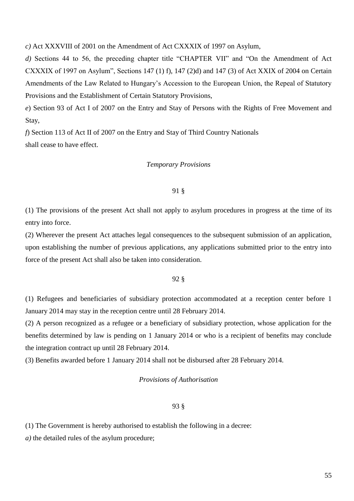*c)* Act XXXVIII of 2001 on the Amendment of Act CXXXIX of 1997 on Asylum,

*d)* Sections 44 to 56, the preceding chapter title "CHAPTER VII" and "On the Amendment of Act CXXXIX of 1997 on Asylum", Sections 147 (1) f), 147 (2)d) and 147 (3) of Act XXIX of 2004 on Certain Amendments of the Law Related to Hungary's Accession to the European Union, the Repeal of Statutory Provisions and the Establishment of Certain Statutory Provisions,

*e*) Section 93 of Act I of 2007 on the Entry and Stay of Persons with the Rights of Free Movement and Stay,

*f*) Section 113 of Act II of 2007 on the Entry and Stay of Third Country Nationals shall cease to have effect.

### *Temporary Provisions*

#### 91 §

(1) The provisions of the present Act shall not apply to asylum procedures in progress at the time of its entry into force.

(2) Wherever the present Act attaches legal consequences to the subsequent submission of an application, upon establishing the number of previous applications, any applications submitted prior to the entry into force of the present Act shall also be taken into consideration.

# 92 §

(1) Refugees and beneficiaries of subsidiary protection accommodated at a reception center before 1 January 2014 may stay in the reception centre until 28 February 2014.

(2) A person recognized as a refugee or a beneficiary of subsidiary protection, whose application for the benefits determined by law is pending on 1 January 2014 or who is a recipient of benefits may conclude the integration contract up until 28 February 2014.

(3) Benefits awarded before 1 January 2014 shall not be disbursed after 28 February 2014.

## *Provisions of Authorisation*

### 93 §

(1) The Government is hereby authorised to establish the following in a decree:

*a*) the detailed rules of the asylum procedure;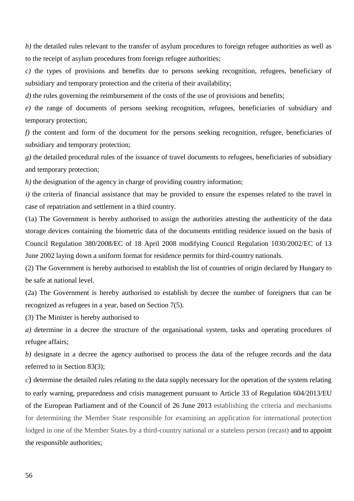*b)* the detailed rules relevant to the transfer of asylum procedures to foreign refugee authorities as well as to the receipt of asylum procedures from foreign refugee authorities;

*c)* the types of provisions and benefits due to persons seeking recognition, refugees, beneficiary of subsidiary and temporary protection and the criteria of their availability;

*d*) the rules governing the reimbursement of the costs of the use of provisions and benefits;

*e)* the range of documents of persons seeking recognition, refugees, beneficiaries of subsidiary and temporary protection;

*f)* the content and form of the document for the persons seeking recognition, refugee, beneficiaries of subsidiary and temporary protection;

*g)* the detailed procedural rules of the issuance of travel documents to refugees, beneficiaries of subsidiary and temporary protection;

*h*) the designation of the agency in charge of providing country information;

*i*) the criteria of financial assistance that may be provided to ensure the expenses related to the travel in case of repatriation and settlement in a third country.

(1a) The Government is hereby authorised to assign the authorities attesting the authenticity of the data storage devices containing the biometric data of the documents entitling residence issued on the basis of Council Regulation 380/2008/EC of 18 April 2008 modifying Council Regulation 1030/2002/EC of 13 June 2002 laying down a uniform format for residence permits for third-country nationals.

(2) The Government is hereby authorised to establish the list of countries of origin declared by Hungary to be safe at national level.

(2a) The Government is hereby authorised to establish by decree the number of foreigners that can be recognized as refugees in a year, based on Section 7(5).

(3) The Minister is hereby authorised to

*a)* determine in a decree the structure of the organisational system, tasks and operating procedures of refugee affairs;

*b*) designate in a decree the agency authorised to process the data of the refugee records and the data referred to in Section 83(3);

*c*) determine the detailed rules relating to the data supply necessary for the operation of the system relating to early warning, preparedness and crisis management pursuant to Article 33 of Regulation 604/2013/EU of the European Parliament and of the Council of 26 June 2013 establishing the criteria and mechanisms for determining the Member State responsible for examining an application for international protection lodged in one of the Member States by a third-country national or a stateless person (recast) and to appoint the responsible authorities;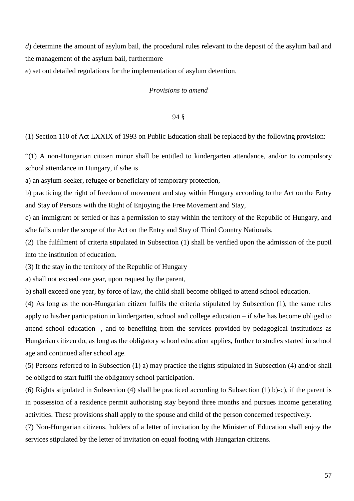*d*) determine the amount of asylum bail, the procedural rules relevant to the deposit of the asylum bail and the management of the asylum bail, furthermore

*e*) set out detailed regulations for the implementation of asylum detention.

# *Provisions to amend*

#### 94 §

(1) Section 110 of Act LXXIX of 1993 on Public Education shall be replaced by the following provision:

"(1) A non-Hungarian citizen minor shall be entitled to kindergarten attendance, and/or to compulsory school attendance in Hungary, if s/he is

a) an asylum-seeker, refugee or beneficiary of temporary protection,

b) practicing the right of freedom of movement and stay within Hungary according to the Act on the Entry and Stay of Persons with the Right of Enjoying the Free Movement and Stay,

c) an immigrant or settled or has a permission to stay within the territory of the Republic of Hungary, and s/he falls under the scope of the Act on the Entry and Stay of Third Country Nationals.

(2) The fulfilment of criteria stipulated in Subsection (1) shall be verified upon the admission of the pupil into the institution of education.

(3) If the stay in the territory of the Republic of Hungary

a) shall not exceed one year, upon request by the parent,

b) shall exceed one year, by force of law, the child shall become obliged to attend school education.

(4) As long as the non-Hungarian citizen fulfils the criteria stipulated by Subsection (1), the same rules apply to his/her participation in kindergarten, school and college education – if s/he has become obliged to attend school education -, and to benefiting from the services provided by pedagogical institutions as Hungarian citizen do, as long as the obligatory school education applies, further to studies started in school age and continued after school age.

(5) Persons referred to in Subsection (1) a) may practice the rights stipulated in Subsection (4) and/or shall be obliged to start fulfil the obligatory school participation.

(6) Rights stipulated in Subsection (4) shall be practiced according to Subsection (1) b)-c), if the parent is in possession of a residence permit authorising stay beyond three months and pursues income generating activities. These provisions shall apply to the spouse and child of the person concerned respectively.

(7) Non-Hungarian citizens, holders of a letter of invitation by the Minister of Education shall enjoy the services stipulated by the letter of invitation on equal footing with Hungarian citizens.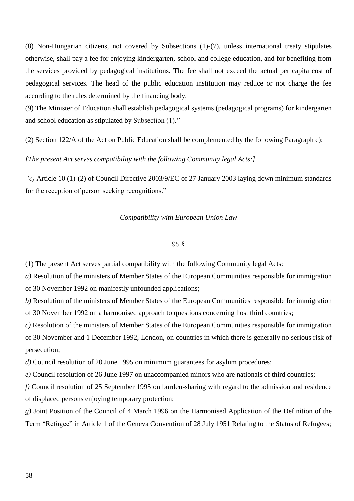(8) Non-Hungarian citizens, not covered by Subsections (1)-(7), unless international treaty stipulates otherwise, shall pay a fee for enjoying kindergarten, school and college education, and for benefiting from the services provided by pedagogical institutions. The fee shall not exceed the actual per capita cost of pedagogical services. The head of the public education institution may reduce or not charge the fee according to the rules determined by the financing body.

(9) The Minister of Education shall establish pedagogical systems (pedagogical programs) for kindergarten and school education as stipulated by Subsection (1)."

(2) Section 122/A of the Act on Public Education shall be complemented by the following Paragraph c):

*[The present Act serves compatibility with the following Community legal Acts:]*

*"c)* Article 10 (1)-(2) of Council Directive 2003/9/EC of 27 January 2003 laying down minimum standards for the reception of person seeking recognitions."

# *Compatibility with European Union Law*

#### 95 §

(1) The present Act serves partial compatibility with the following Community legal Acts:

*a)* Resolution of the ministers of Member States of the European Communities responsible for immigration of 30 November 1992 on manifestly unfounded applications;

*b)* Resolution of the ministers of Member States of the European Communities responsible for immigration of 30 November 1992 on a harmonised approach to questions concerning host third countries;

*c)* Resolution of the ministers of Member States of the European Communities responsible for immigration of 30 November and 1 December 1992, London, on countries in which there is generally no serious risk of persecution;

*d)* Council resolution of 20 June 1995 on minimum guarantees for asylum procedures;

*e)* Council resolution of 26 June 1997 on unaccompanied minors who are nationals of third countries;

*f)* Council resolution of 25 September 1995 on burden-sharing with regard to the admission and residence of displaced persons enjoying temporary protection;

*g)* Joint Position of the Council of 4 March 1996 on the Harmonised Application of the Definition of the Term "Refugee" in Article 1 of the Geneva Convention of 28 July 1951 Relating to the Status of Refugees;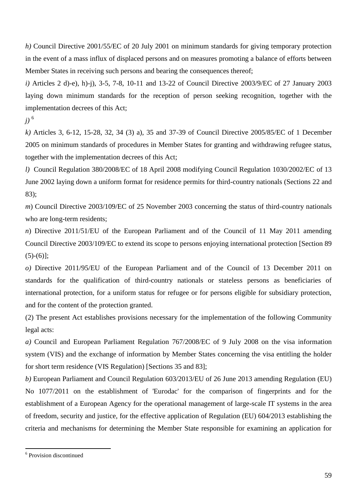*h)* Council Directive 2001/55/EC of 20 July 2001 on minimum standards for giving temporary protection in the event of a mass influx of displaced persons and on measures promoting a balance of efforts between Member States in receiving such persons and bearing the consequences thereof;

*i)* Articles 2 d)-e), h)-j), 3-5, 7-8, 10-11 and 13-22 of Council Directive 2003/9/EC of 27 January 2003 laying down minimum standards for the reception of person seeking recognition, together with the implementation decrees of this Act;

*j)* <sup>6</sup>

*k)* Articles 3, 6-12, 15-28, 32, 34 (3) a), 35 and 37-39 of Council Directive 2005/85/EC of 1 December 2005 on minimum standards of procedures in Member States for granting and withdrawing refugee status, together with the implementation decrees of this Act;

*l)* Council Regulation 380/2008/EC of 18 April 2008 modifying Council Regulation 1030/2002/EC of 13 June 2002 laying down a uniform format for residence permits for third-country nationals (Sections 22 and 83);

*m*) Council Directive 2003/109/EC of 25 November 2003 concerning the status of third-country nationals who are long-term residents;

*n*) Directive 2011/51/EU of the European Parliament and of the Council of 11 May 2011 amending Council Directive 2003/109/EC to extend its scope to persons enjoying international protection [Section 89  $(5)-(6)$ ];

*o)* Directive 2011/95/EU of the European Parliament and of the Council of 13 December 2011 on standards for the qualification of third-country nationals or stateless persons as beneficiaries of international protection, for a uniform status for refugee or for persons eligible for subsidiary protection, and for the content of the protection granted.

(2) The present Act establishes provisions necessary for the implementation of the following Community legal acts:

*a)* Council and European Parliament Regulation 767/2008/EC of 9 July 2008 on the visa information system (VIS) and the exchange of information by Member States concerning the visa entitling the holder for short term residence (VIS Regulation) [Sections 35 and 83];

*b)* European Parliament and Council Regulation 603/2013/EU of 26 June 2013 amending Regulation (EU) No 1077/2011 on the establishment of 'Eurodac' for the comparison of fingerprints and for the establishment of a European Agency for the operational management of large-scale IT systems in the area of freedom, security and justice, for the effective application of Regulation (EU) 604/2013 establishing the criteria and mechanisms for determining the Member State responsible for examining an application for

 6 Provision discontinued